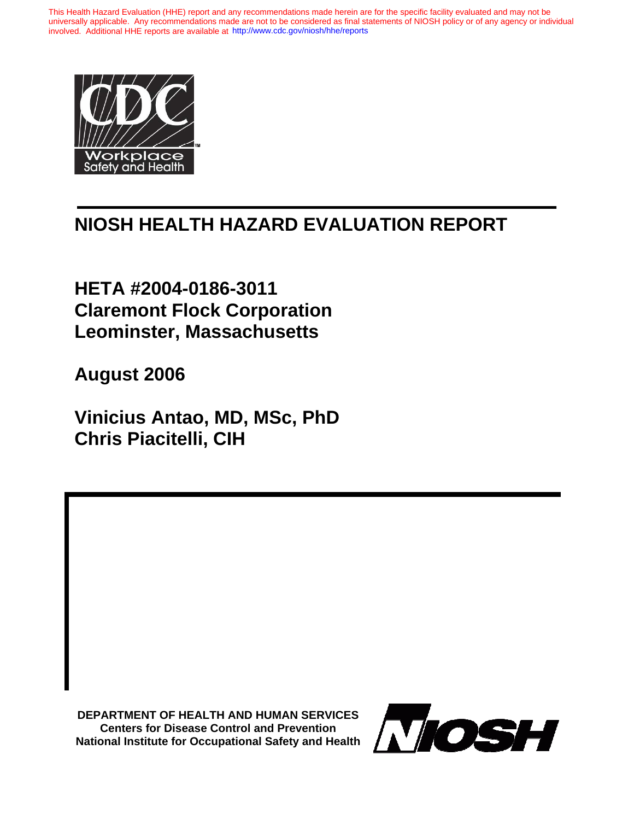This Health Hazard Evaluation (HHE) report and any recommendations made herein are for the specific facility evaluated and may not be universally applicable. Any recommendations made are not to be considered as final statements of NIOSH policy or of any agency or individual involved. Additional HHE reports are available at <http://www.cdc.gov/niosh/hhe/reports>



## **NIOSH HEALTH HAZARD EVALUATION REPORT**

**HETA #2004-0186-3011 Claremont Flock Corporation Leominster, Massachusetts** 

**August 2006** 

**Vinicius Antao, MD, MSc, PhD Chris Piacitelli, CIH** 

**DEPARTMENT OF HEALTH AND HUMAN SERVICES Centers for Disease Control and Prevention National Institute for Occupational Safety and Health**

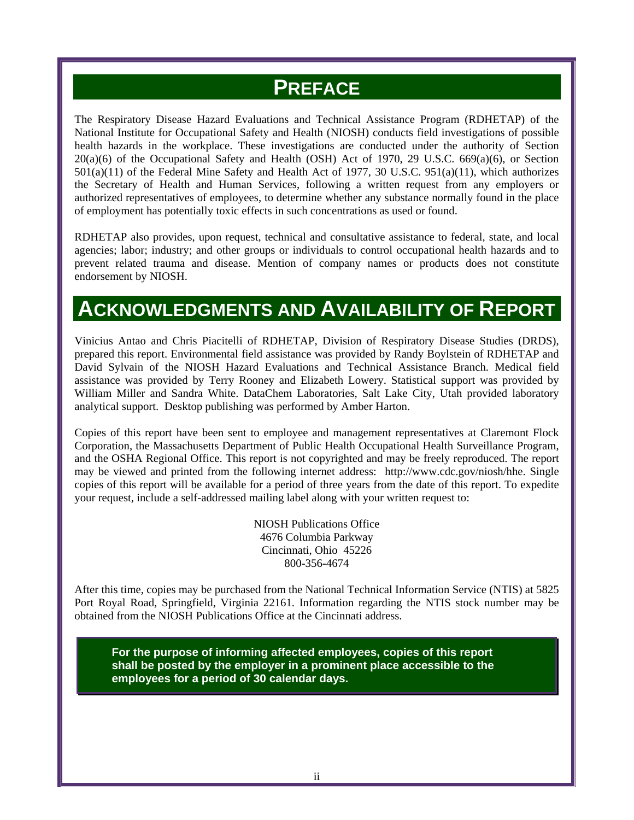## **PREFACE**

The Respiratory Disease Hazard Evaluations and Technical Assistance Program (RDHETAP) of the National Institute for Occupational Safety and Health (NIOSH) conducts field investigations of possible health hazards in the workplace. These investigations are conducted under the authority of Section  $20(a)(6)$  of the Occupational Safety and Health (OSH) Act of 1970, 29 U.S.C. 669 $(a)(6)$ , or Section 501(a)(11) of the Federal Mine Safety and Health Act of 1977, 30 U.S.C. 951(a)(11), which authorizes the Secretary of Health and Human Services, following a written request from any employers or authorized representatives of employees, to determine whether any substance normally found in the place of employment has potentially toxic effects in such concentrations as used or found.

RDHETAP also provides, upon request, technical and consultative assistance to federal, state, and local agencies; labor; industry; and other groups or individuals to control occupational health hazards and to prevent related trauma and disease. Mention of company names or products does not constitute endorsement by NIOSH.

## **ACKNOWLEDGMENTS AND AVAILABILITY OF REPORT**

Vinicius Antao and Chris Piacitelli of RDHETAP, Division of Respiratory Disease Studies (DRDS), prepared this report. Environmental field assistance was provided by Randy Boylstein of RDHETAP and David Sylvain of the NIOSH Hazard Evaluations and Technical Assistance Branch. Medical field assistance was provided by Terry Rooney and Elizabeth Lowery. Statistical support was provided by William Miller and Sandra White. DataChem Laboratories, Salt Lake City, Utah provided laboratory analytical support. Desktop publishing was performed by Amber Harton.

Copies of this report have been sent to employee and management representatives at Claremont Flock Corporation, the Massachusetts Department of Public Health Occupational Health Surveillance Program, and the OSHA Regional Office. This report is not copyrighted and may be freely reproduced. The report may be viewed and printed from the following internet address: http://www.cdc.gov/niosh/hhe. Single copies of this report will be available for a period of three years from the date of this report. To expedite your request, include a self-addressed mailing label along with your written request to:

> NIOSH Publications Office 4676 Columbia Parkway Cincinnati, Ohio 45226 800-356-4674

After this time, copies may be purchased from the National Technical Information Service (NTIS) at 5825 Port Royal Road, Springfield, Virginia 22161. Information regarding the NTIS stock number may be obtained from the NIOSH Publications Office at the Cincinnati address.

**For the purpose of informing affected employees, copies of this report shall be posted by the employer in a prominent place accessible to the employees for a period of 30 calendar days.**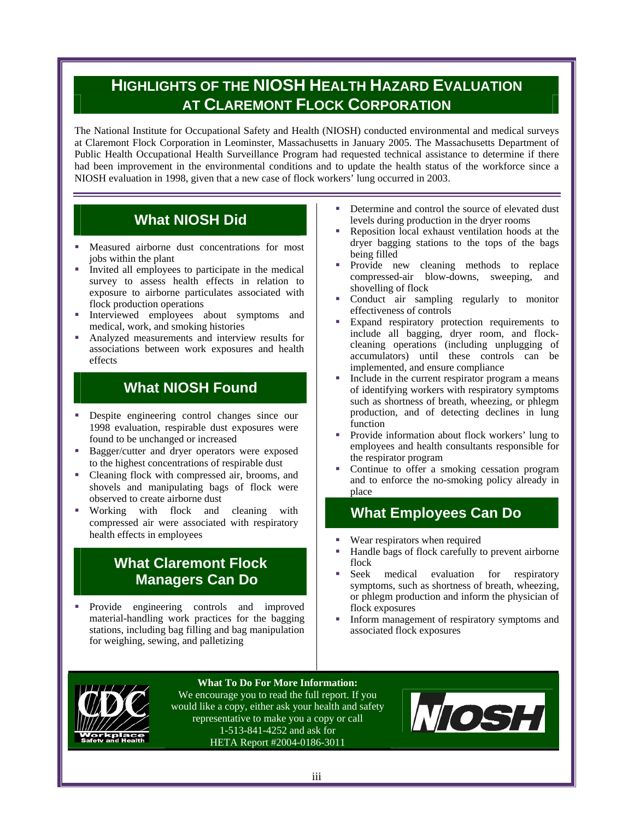## **HIGHLIGHTS OF THE NIOSH HEALTH HAZARD EVALUATION AT CLAREMONT FLOCK CORPORATION**

The National Institute for Occupational Safety and Health (NIOSH) conducted environmental and medical surveys at Claremont Flock Corporation in Leominster, Massachusetts in January 2005. The Massachusetts Department of Public Health Occupational Health Surveillance Program had requested technical assistance to determine if there had been improvement in the environmental conditions and to update the health status of the workforce since a NIOSH evaluation in 1998, given that a new case of flock workers' lung occurred in 2003.

## **What NIOSH Did**

- Measured airborne dust concentrations for most jobs within the plant
- Invited all employees to participate in the medical survey to assess health effects in relation to exposure to airborne particulates associated with flock production operations
- Interviewed employees about symptoms and medical, work, and smoking histories
- Analyzed measurements and interview results for associations between work exposures and health effects

## **What NIOSH Found**

- Despite engineering control changes since our 1998 evaluation, respirable dust exposures were found to be unchanged or increased
- Bagger/cutter and dryer operators were exposed to the highest concentrations of respirable dust
- Cleaning flock with compressed air, brooms, and shovels and manipulating bags of flock were observed to create airborne dust
- Working with flock and cleaning with compressed air were associated with respiratory health effects in employees

### **What Claremont Flock Managers Can Do**

**Provide** engineering controls and improved material-handling work practices for the bagging stations, including bag filling and bag manipulation for weighing, sewing, and palletizing

- Determine and control the source of elevated dust levels during production in the dryer rooms
- Reposition local exhaust ventilation hoods at the dryer bagging stations to the tops of the bags being filled
- Provide new cleaning methods to replace compressed-air blow-downs, sweeping, and shovelling of flock
- Conduct air sampling regularly to monitor effectiveness of controls
- Expand respiratory protection requirements to include all bagging, dryer room, and flockcleaning operations (including unplugging of accumulators) until these controls can be implemented, and ensure compliance
- Include in the current respirator program a means of identifying workers with respiratory symptoms such as shortness of breath, wheezing, or phlegm production, and of detecting declines in lung function
- Provide information about flock workers' lung to employees and health consultants responsible for the respirator program
- Continue to offer a smoking cessation program and to enforce the no-smoking policy already in place

### **What Employees Can Do**

- Wear respirators when required
- Handle bags of flock carefully to prevent airborne flock
- Seek medical evaluation for respiratory symptoms, such as shortness of breath, wheezing, or phlegm production and inform the physician of flock exposures
- Inform management of respiratory symptoms and associated flock exposures



**What To Do For More Information:**

We encourage you to read the full report. If you would like a copy, either ask your health and safety representative to make you a copy or call 1-513-841-4252 and ask for HETA Report #2004-0186-3011

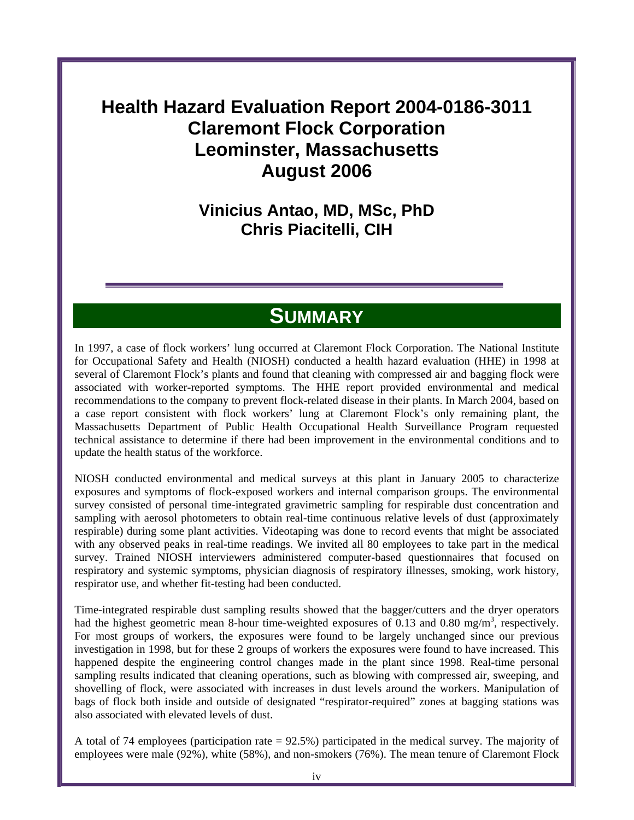## **Health Hazard Evaluation Report 2004-0186-3011 Claremont Flock Corporation Leominster, Massachusetts August 2006**

## **Vinicius Antao, MD, MSc, PhD Chris Piacitelli, CIH**

## **SUMMARY**

In 1997, a case of flock workers' lung occurred at Claremont Flock Corporation. The National Institute for Occupational Safety and Health (NIOSH) conducted a health hazard evaluation (HHE) in 1998 at several of Claremont Flock's plants and found that cleaning with compressed air and bagging flock were associated with worker-reported symptoms. The HHE report provided environmental and medical recommendations to the company to prevent flock-related disease in their plants. In March 2004, based on a case report consistent with flock workers' lung at Claremont Flock's only remaining plant, the Massachusetts Department of Public Health Occupational Health Surveillance Program requested technical assistance to determine if there had been improvement in the environmental conditions and to update the health status of the workforce.

NIOSH conducted environmental and medical surveys at this plant in January 2005 to characterize exposures and symptoms of flock-exposed workers and internal comparison groups. The environmental survey consisted of personal time-integrated gravimetric sampling for respirable dust concentration and sampling with aerosol photometers to obtain real-time continuous relative levels of dust (approximately respirable) during some plant activities. Videotaping was done to record events that might be associated with any observed peaks in real-time readings. We invited all 80 employees to take part in the medical survey. Trained NIOSH interviewers administered computer-based questionnaires that focused on respiratory and systemic symptoms, physician diagnosis of respiratory illnesses, smoking, work history, respirator use, and whether fit-testing had been conducted.

Time-integrated respirable dust sampling results showed that the bagger/cutters and the dryer operators had the highest geometric mean 8-hour time-weighted exposures of 0.13 and 0.80 mg/m<sup>3</sup>, respectively. For most groups of workers, the exposures were found to be largely unchanged since our previous investigation in 1998, but for these 2 groups of workers the exposures were found to have increased. This happened despite the engineering control changes made in the plant since 1998. Real-time personal sampling results indicated that cleaning operations, such as blowing with compressed air, sweeping, and shovelling of flock, were associated with increases in dust levels around the workers. Manipulation of bags of flock both inside and outside of designated "respirator-required" zones at bagging stations was also associated with elevated levels of dust.

A total of 74 employees (participation rate = 92.5%) participated in the medical survey. The majority of employees were male (92%), white (58%), and non-smokers (76%). The mean tenure of Claremont Flock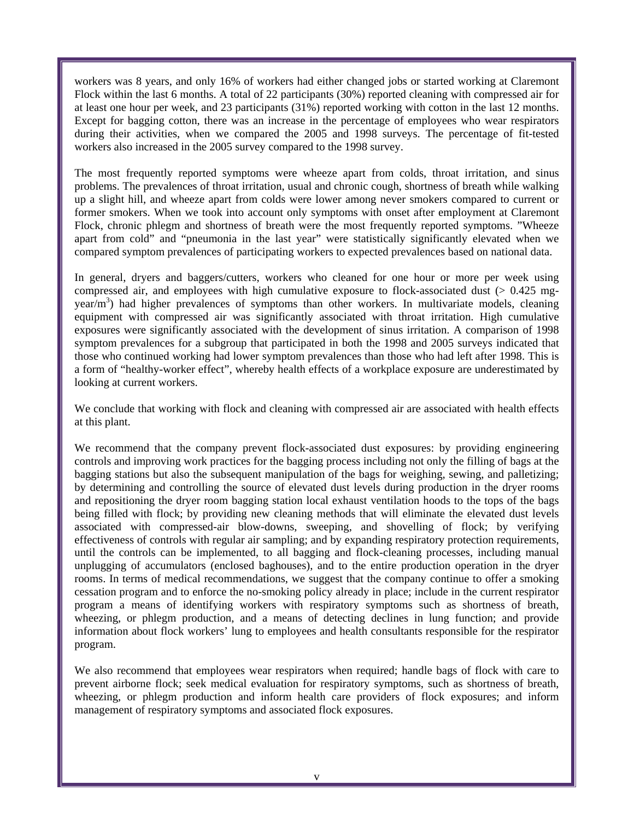workers was 8 years, and only 16% of workers had either changed jobs or started working at Claremont Flock within the last 6 months. A total of 22 participants (30%) reported cleaning with compressed air for at least one hour per week, and 23 participants (31%) reported working with cotton in the last 12 months. Except for bagging cotton, there was an increase in the percentage of employees who wear respirators during their activities, when we compared the 2005 and 1998 surveys. The percentage of fit-tested workers also increased in the 2005 survey compared to the 1998 survey.

The most frequently reported symptoms were wheeze apart from colds, throat irritation, and sinus problems. The prevalences of throat irritation, usual and chronic cough, shortness of breath while walking up a slight hill, and wheeze apart from colds were lower among never smokers compared to current or former smokers. When we took into account only symptoms with onset after employment at Claremont Flock, chronic phlegm and shortness of breath were the most frequently reported symptoms. "Wheeze apart from cold" and "pneumonia in the last year" were statistically significantly elevated when we compared symptom prevalences of participating workers to expected prevalences based on national data.

In general, dryers and baggers/cutters, workers who cleaned for one hour or more per week using compressed air, and employees with high cumulative exposure to flock-associated dust  $(> 0.425$  mgyear/m<sup>3</sup>) had higher prevalences of symptoms than other workers. In multivariate models, cleaning equipment with compressed air was significantly associated with throat irritation. High cumulative exposures were significantly associated with the development of sinus irritation. A comparison of 1998 symptom prevalences for a subgroup that participated in both the 1998 and 2005 surveys indicated that those who continued working had lower symptom prevalences than those who had left after 1998. This is a form of "healthy-worker effect", whereby health effects of a workplace exposure are underestimated by looking at current workers.

We conclude that working with flock and cleaning with compressed air are associated with health effects at this plant.

We recommend that the company prevent flock-associated dust exposures: by providing engineering controls and improving work practices for the bagging process including not only the filling of bags at the bagging stations but also the subsequent manipulation of the bags for weighing, sewing, and palletizing; by determining and controlling the source of elevated dust levels during production in the dryer rooms and repositioning the dryer room bagging station local exhaust ventilation hoods to the tops of the bags being filled with flock; by providing new cleaning methods that will eliminate the elevated dust levels associated with compressed-air blow-downs, sweeping, and shovelling of flock; by verifying effectiveness of controls with regular air sampling; and by expanding respiratory protection requirements, until the controls can be implemented, to all bagging and flock-cleaning processes, including manual unplugging of accumulators (enclosed baghouses), and to the entire production operation in the dryer rooms. In terms of medical recommendations, we suggest that the company continue to offer a smoking cessation program and to enforce the no-smoking policy already in place; include in the current respirator program a means of identifying workers with respiratory symptoms such as shortness of breath, wheezing, or phlegm production, and a means of detecting declines in lung function; and provide information about flock workers' lung to employees and health consultants responsible for the respirator program.

We also recommend that employees wear respirators when required; handle bags of flock with care to prevent airborne flock; seek medical evaluation for respiratory symptoms, such as shortness of breath, wheezing, or phlegm production and inform health care providers of flock exposures; and inform management of respiratory symptoms and associated flock exposures.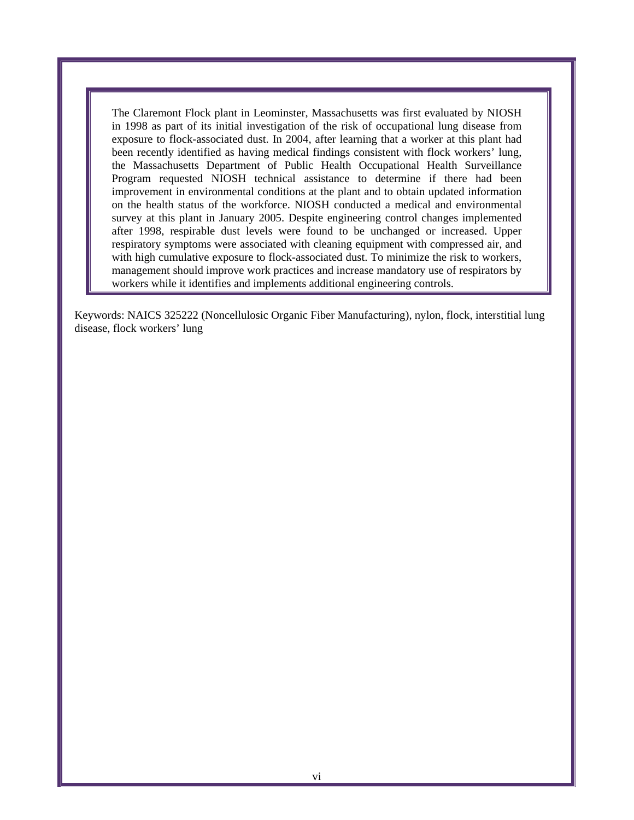The Claremont Flock plant in Leominster, Massachusetts was first evaluated by NIOSH in 1998 as part of its initial investigation of the risk of occupational lung disease from exposure to flock-associated dust. In 2004, after learning that a worker at this plant had been recently identified as having medical findings consistent with flock workers' lung, the Massachusetts Department of Public Health Occupational Health Surveillance Program requested NIOSH technical assistance to determine if there had been improvement in environmental conditions at the plant and to obtain updated information on the health status of the workforce. NIOSH conducted a medical and environmental survey at this plant in January 2005. Despite engineering control changes implemented after 1998, respirable dust levels were found to be unchanged or increased. Upper respiratory symptoms were associated with cleaning equipment with compressed air, and with high cumulative exposure to flock-associated dust. To minimize the risk to workers, management should improve work practices and increase mandatory use of respirators by workers while it identifies and implements additional engineering controls.

Keywords: NAICS 325222 (Noncellulosic Organic Fiber Manufacturing), nylon, flock, interstitial lung disease, flock workers' lung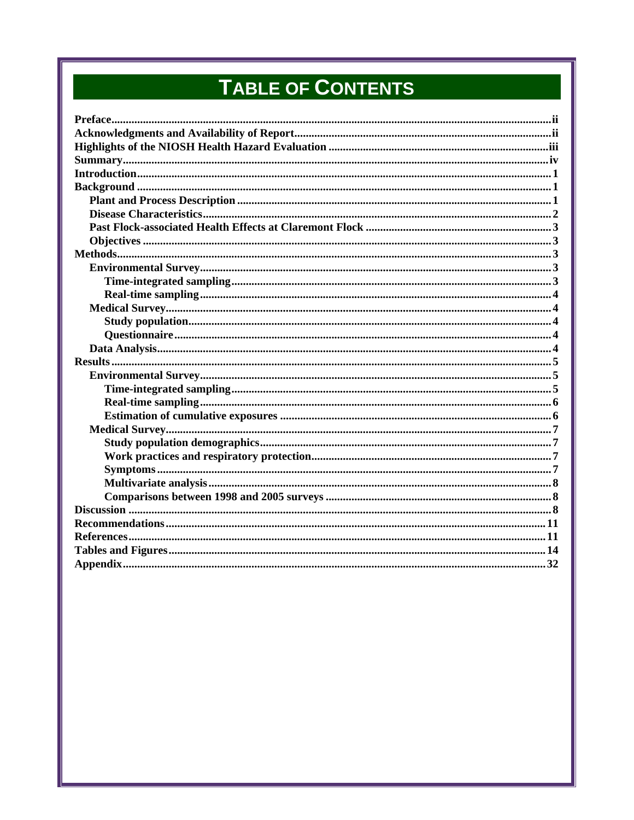# TABLE OF CONTENTS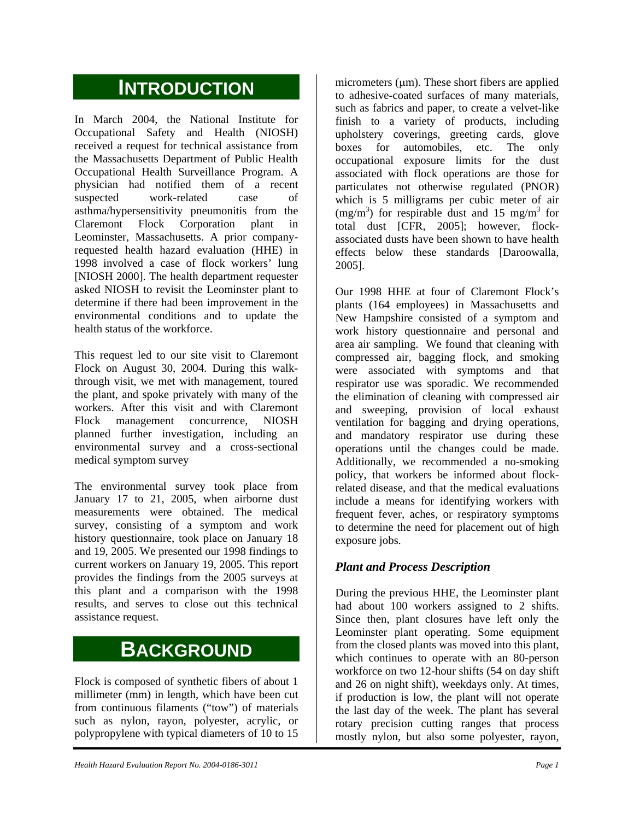## **INTRODUCTION**

In March 2004, the National Institute for Occupational Safety and Health (NIOSH) received a request for technical assistance from the Massachusetts Department of Public Health Occupational Health Surveillance Program. A physician had notified them of a recent suspected work-related case of asthma/hypersensitivity pneumonitis from the Claremont Flock Corporation plant in Leominster, Massachusetts. A prior companyrequested health hazard evaluation (HHE) in 1998 involved a case of flock workers' lung [NIOSH 2000]. The health department requester asked NIOSH to revisit the Leominster plant to determine if there had been improvement in the environmental conditions and to update the health status of the workforce.

This request led to our site visit to Claremont Flock on August 30, 2004. During this walkthrough visit, we met with management, toured the plant, and spoke privately with many of the workers. After this visit and with Claremont Flock management concurrence, NIOSH planned further investigation, including an environmental survey and a cross-sectional medical symptom survey

The environmental survey took place from January 17 to 21, 2005, when airborne dust measurements were obtained. The medical survey, consisting of a symptom and work history questionnaire, took place on January 18 and 19, 2005. We presented our 1998 findings to current workers on January 19, 2005. This report provides the findings from the 2005 surveys at this plant and a comparison with the 1998 results, and serves to close out this technical assistance request.

## **BACKGROUND**

Flock is composed of synthetic fibers of about 1 millimeter (mm) in length, which have been cut from continuous filaments ("tow") of materials such as nylon, rayon, polyester, acrylic, or polypropylene with typical diameters of 10 to 15

micrometers  $(\mu m)$ . These short fibers are applied to adhesive-coated surfaces of many materials, such as fabrics and paper, to create a velvet-like finish to a variety of products, including upholstery coverings, greeting cards, glove boxes for automobiles, etc. The only occupational exposure limits for the dust associated with flock operations are those for particulates not otherwise regulated (PNOR) which is 5 milligrams per cubic meter of air  $(mg/m<sup>3</sup>)$  for respirable dust and 15 mg/m<sup>3</sup> for total dust [CFR, 2005]; however, flockassociated dusts have been shown to have health effects below these standards [Daroowalla, 2005].

Our 1998 HHE at four of Claremont Flock's plants (164 employees) in Massachusetts and New Hampshire consisted of a symptom and work history questionnaire and personal and area air sampling. We found that cleaning with compressed air, bagging flock, and smoking were associated with symptoms and that respirator use was sporadic. We recommended the elimination of cleaning with compressed air and sweeping, provision of local exhaust ventilation for bagging and drying operations, and mandatory respirator use during these operations until the changes could be made. Additionally, we recommended a no-smoking policy, that workers be informed about flockrelated disease, and that the medical evaluations include a means for identifying workers with frequent fever, aches, or respiratory symptoms to determine the need for placement out of high exposure jobs.

#### *Plant and Process Description*

During the previous HHE, the Leominster plant had about 100 workers assigned to 2 shifts. Since then, plant closures have left only the Leominster plant operating. Some equipment from the closed plants was moved into this plant, which continues to operate with an 80-person workforce on two 12-hour shifts (54 on day shift and 26 on night shift), weekdays only. At times, if production is low, the plant will not operate the last day of the week. The plant has several rotary precision cutting ranges that process mostly nylon, but also some polyester, rayon,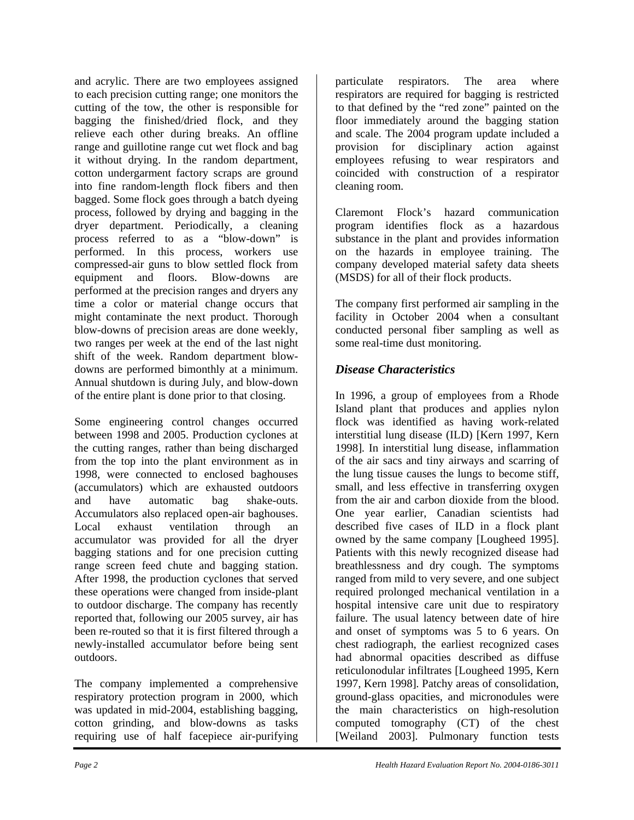and acrylic. There are two employees assigned to each precision cutting range; one monitors the cutting of the tow, the other is responsible for bagging the finished/dried flock, and they relieve each other during breaks. An offline range and guillotine range cut wet flock and bag it without drying. In the random department, cotton undergarment factory scraps are ground into fine random-length flock fibers and then bagged. Some flock goes through a batch dyeing process, followed by drying and bagging in the dryer department. Periodically, a cleaning process referred to as a "blow-down" is performed. In this process, workers use compressed-air guns to blow settled flock from equipment and floors. Blow-downs are performed at the precision ranges and dryers any time a color or material change occurs that might contaminate the next product. Thorough blow-downs of precision areas are done weekly, two ranges per week at the end of the last night shift of the week. Random department blowdowns are performed bimonthly at a minimum. Annual shutdown is during July, and blow-down of the entire plant is done prior to that closing.

Some engineering control changes occurred between 1998 and 2005. Production cyclones at the cutting ranges, rather than being discharged from the top into the plant environment as in 1998, were connected to enclosed baghouses (accumulators) which are exhausted outdoors and have automatic bag shake-outs. Accumulators also replaced open-air baghouses. Local exhaust ventilation through an accumulator was provided for all the dryer bagging stations and for one precision cutting range screen feed chute and bagging station. After 1998, the production cyclones that served these operations were changed from inside-plant to outdoor discharge. The company has recently reported that, following our 2005 survey, air has been re-routed so that it is first filtered through a newly-installed accumulator before being sent outdoors.

The company implemented a comprehensive respiratory protection program in 2000, which was updated in mid-2004, establishing bagging, cotton grinding, and blow-downs as tasks requiring use of half facepiece air-purifying

particulate respirators. The area where respirators are required for bagging is restricted to that defined by the "red zone" painted on the floor immediately around the bagging station and scale. The 2004 program update included a provision for disciplinary action against employees refusing to wear respirators and coincided with construction of a respirator cleaning room.

Claremont Flock's hazard communication program identifies flock as a hazardous substance in the plant and provides information on the hazards in employee training. The company developed material safety data sheets (MSDS) for all of their flock products.

The company first performed air sampling in the facility in October 2004 when a consultant conducted personal fiber sampling as well as some real-time dust monitoring.

### *Disease Characteristics*

In 1996, a group of employees from a Rhode Island plant that produces and applies nylon flock was identified as having work-related interstitial lung disease (ILD) [Kern 1997, Kern 1998]. In interstitial lung disease, inflammation of the air sacs and tiny airways and scarring of the lung tissue causes the lungs to become stiff, small, and less effective in transferring oxygen from the air and carbon dioxide from the blood. One year earlier, Canadian scientists had described five cases of ILD in a flock plant owned by the same company [Lougheed 1995]. Patients with this newly recognized disease had breathlessness and dry cough. The symptoms ranged from mild to very severe, and one subject required prolonged mechanical ventilation in a hospital intensive care unit due to respiratory failure. The usual latency between date of hire and onset of symptoms was 5 to 6 years. On chest radiograph, the earliest recognized cases had abnormal opacities described as diffuse reticulonodular infiltrates [Lougheed 1995, Kern 1997, Kern 1998]. Patchy areas of consolidation, ground-glass opacities, and micronodules were the main characteristics on high-resolution computed tomography (CT) of the chest [Weiland 2003]. Pulmonary function tests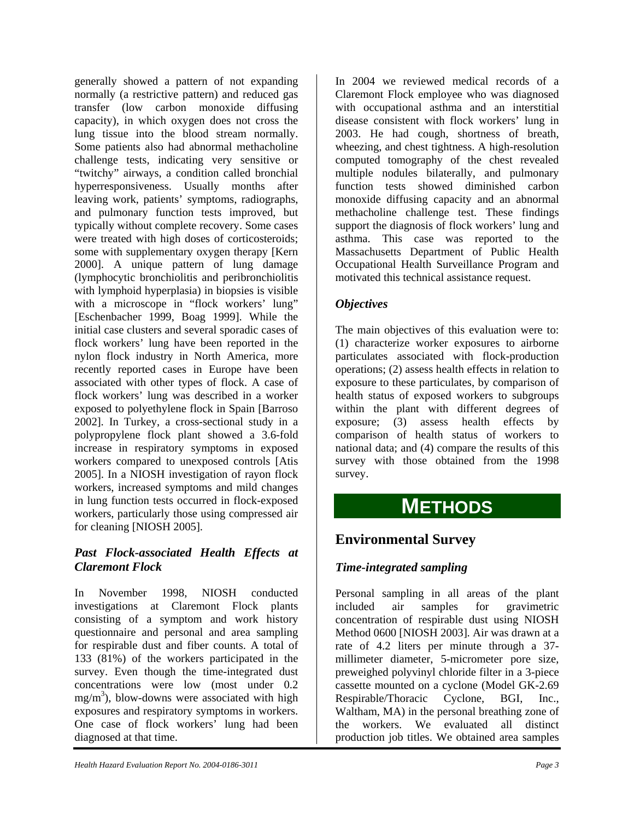generally showed a pattern of not expanding normally (a restrictive pattern) and reduced gas transfer (low carbon monoxide diffusing capacity), in which oxygen does not cross the lung tissue into the blood stream normally. Some patients also had abnormal methacholine challenge tests, indicating very sensitive or "twitchy" airways, a condition called bronchial hyperresponsiveness. Usually months after leaving work, patients' symptoms, radiographs, and pulmonary function tests improved, but typically without complete recovery. Some cases were treated with high doses of corticosteroids; some with supplementary oxygen therapy [Kern 2000]. A unique pattern of lung damage (lymphocytic bronchiolitis and peribronchiolitis with lymphoid hyperplasia) in biopsies is visible with a microscope in "flock workers' lung" [Eschenbacher 1999, Boag 1999]. While the initial case clusters and several sporadic cases of flock workers' lung have been reported in the nylon flock industry in North America, more recently reported cases in Europe have been associated with other types of flock. A case of flock workers' lung was described in a worker exposed to polyethylene flock in Spain [Barroso 2002]. In Turkey, a cross-sectional study in a polypropylene flock plant showed a 3.6-fold increase in respiratory symptoms in exposed workers compared to unexposed controls [Atis 2005]. In a NIOSH investigation of rayon flock workers, increased symptoms and mild changes in lung function tests occurred in flock-exposed workers, particularly those using compressed air for cleaning [NIOSH 2005].

#### *Past Flock-associated Health Effects at Claremont Flock*

In November 1998, NIOSH conducted investigations at Claremont Flock plants consisting of a symptom and work history questionnaire and personal and area sampling for respirable dust and fiber counts. A total of 133 (81%) of the workers participated in the survey. Even though the time-integrated dust concentrations were low (most under 0.2  $mg/m<sup>3</sup>$ ), blow-downs were associated with high exposures and respiratory symptoms in workers. One case of flock workers' lung had been diagnosed at that time.

In 2004 we reviewed medical records of a Claremont Flock employee who was diagnosed with occupational asthma and an interstitial disease consistent with flock workers' lung in 2003. He had cough, shortness of breath, wheezing, and chest tightness. A high-resolution computed tomography of the chest revealed multiple nodules bilaterally, and pulmonary function tests showed diminished carbon monoxide diffusing capacity and an abnormal methacholine challenge test. These findings support the diagnosis of flock workers' lung and asthma. This case was reported to the Massachusetts Department of Public Health Occupational Health Surveillance Program and motivated this technical assistance request.

### *Objectives*

The main objectives of this evaluation were to: (1) characterize worker exposures to airborne particulates associated with flock-production operations; (2) assess health effects in relation to exposure to these particulates, by comparison of health status of exposed workers to subgroups within the plant with different degrees of exposure; (3) assess health effects by comparison of health status of workers to national data; and (4) compare the results of this survey with those obtained from the 1998 survey.

## **METHODS**

## **Environmental Survey**

### *Time-integrated sampling*

Personal sampling in all areas of the plant included air samples for gravimetric concentration of respirable dust using NIOSH Method 0600 [NIOSH 2003]. Air was drawn at a rate of 4.2 liters per minute through a 37 millimeter diameter, 5-micrometer pore size, preweighed polyvinyl chloride filter in a 3-piece cassette mounted on a cyclone (Model GK-2.69 Respirable/Thoracic Cyclone, BGI, Inc., Waltham, MA) in the personal breathing zone of the workers. We evaluated all distinct production job titles. We obtained area samples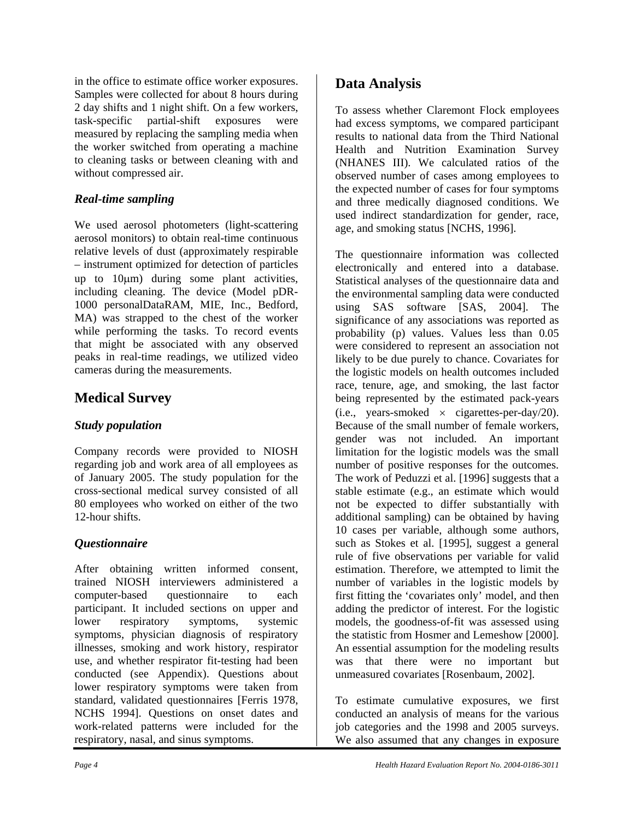in the office to estimate office worker exposures. Samples were collected for about 8 hours during 2 day shifts and 1 night shift. On a few workers, task-specific partial-shift exposures were measured by replacing the sampling media when the worker switched from operating a machine to cleaning tasks or between cleaning with and without compressed air.

#### *Real-time sampling*

We used aerosol photometers (light-scattering aerosol monitors) to obtain real-time continuous relative levels of dust (approximately respirable – instrument optimized for detection of particles up to 10µm) during some plant activities, including cleaning. The device (Model pDR-1000 personalDataRAM, MIE, Inc., Bedford, MA) was strapped to the chest of the worker while performing the tasks. To record events that might be associated with any observed peaks in real-time readings, we utilized video cameras during the measurements.

## **Medical Survey**

#### *Study population*

Company records were provided to NIOSH regarding job and work area of all employees as of January 2005. The study population for the cross-sectional medical survey consisted of all 80 employees who worked on either of the two 12-hour shifts.

### *Questionnaire*

After obtaining written informed consent, trained NIOSH interviewers administered a computer-based questionnaire to each participant. It included sections on upper and lower respiratory symptoms, systemic symptoms, physician diagnosis of respiratory illnesses, smoking and work history, respirator use, and whether respirator fit-testing had been conducted (see Appendix). Questions about lower respiratory symptoms were taken from standard, validated questionnaires [Ferris 1978, NCHS 1994]. Questions on onset dates and work-related patterns were included for the respiratory, nasal, and sinus symptoms.

## **Data Analysis**

To assess whether Claremont Flock employees had excess symptoms, we compared participant results to national data from the Third National Health and Nutrition Examination Survey (NHANES III). We calculated ratios of the observed number of cases among employees to the expected number of cases for four symptoms and three medically diagnosed conditions. We used indirect standardization for gender, race, age, and smoking status [NCHS, 1996].

The questionnaire information was collected electronically and entered into a database. Statistical analyses of the questionnaire data and the environmental sampling data were conducted using SAS software [SAS, 2004]. The significance of any associations was reported as probability (p) values. Values less than 0.05 were considered to represent an association not likely to be due purely to chance. Covariates for the logistic models on health outcomes included race, tenure, age, and smoking, the last factor being represented by the estimated pack-years (i.e., years-smoked  $\times$  cigarettes-per-day/20). Because of the small number of female workers, gender was not included. An important limitation for the logistic models was the small number of positive responses for the outcomes. The work of Peduzzi et al. [1996] suggests that a stable estimate (e.g., an estimate which would not be expected to differ substantially with additional sampling) can be obtained by having 10 cases per variable, although some authors, such as Stokes et al. [1995], suggest a general rule of five observations per variable for valid estimation. Therefore, we attempted to limit the number of variables in the logistic models by first fitting the 'covariates only' model, and then adding the predictor of interest. For the logistic models, the goodness-of-fit was assessed using the statistic from Hosmer and Lemeshow [2000]. An essential assumption for the modeling results was that there were no important but unmeasured covariates [Rosenbaum, 2002].

To estimate cumulative exposures, we first conducted an analysis of means for the various job categories and the 1998 and 2005 surveys. We also assumed that any changes in exposure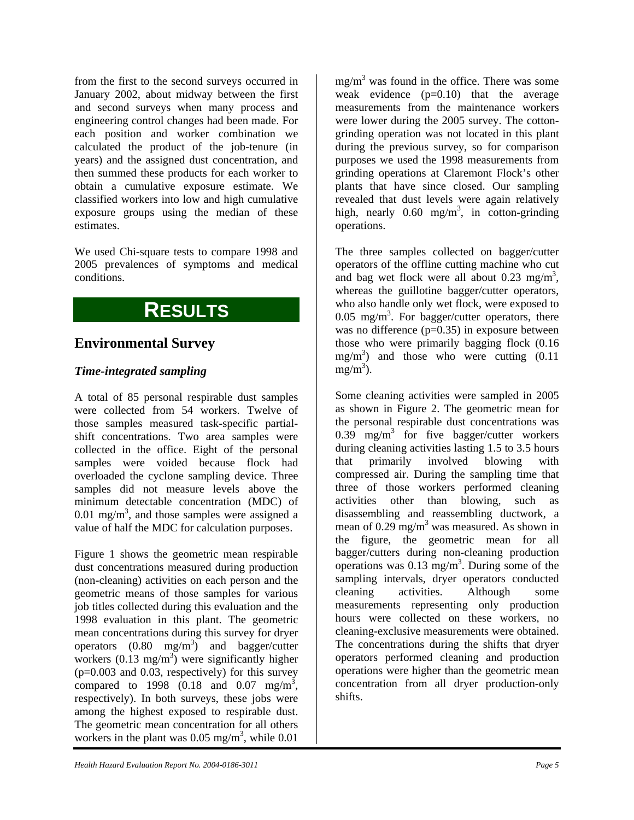from the first to the second surveys occurred in January 2002, about midway between the first and second surveys when many process and engineering control changes had been made. For each position and worker combination we calculated the product of the job-tenure (in years) and the assigned dust concentration, and then summed these products for each worker to obtain a cumulative exposure estimate. We classified workers into low and high cumulative exposure groups using the median of these estimates.

We used Chi-square tests to compare 1998 and 2005 prevalences of symptoms and medical conditions.

## **RESULTS**

### **Environmental Survey**

#### *Time-integrated sampling*

A total of 85 personal respirable dust samples were collected from 54 workers. Twelve of those samples measured task-specific partialshift concentrations. Two area samples were collected in the office. Eight of the personal samples were voided because flock had overloaded the cyclone sampling device. Three samples did not measure levels above the minimum detectable concentration (MDC) of 0.01 mg/m<sup>3</sup>, and those samples were assigned a value of half the MDC for calculation purposes.

Figure 1 shows the geometric mean respirable dust concentrations measured during production (non-cleaning) activities on each person and the geometric means of those samples for various job titles collected during this evaluation and the 1998 evaluation in this plant. The geometric mean concentrations during this survey for dryer operators  $(0.80 \text{ mg/m}^3)$  and bagger/cutter workers  $(0.13 \text{ mg/m}^3)$  were significantly higher  $(p=0.003$  and 0.03, respectively) for this survey compared to 1998  $(0.18 \text{ and } 0.07 \text{ mg/m}^3)$ , respectively). In both surveys, these jobs were among the highest exposed to respirable dust. The geometric mean concentration for all others workers in the plant was  $0.05$  mg/m<sup>3</sup>, while  $0.01$ 

 $mg/m<sup>3</sup>$  was found in the office. There was some weak evidence  $(p=0.10)$  that the average measurements from the maintenance workers were lower during the 2005 survey. The cottongrinding operation was not located in this plant during the previous survey, so for comparison purposes we used the 1998 measurements from grinding operations at Claremont Flock's other plants that have since closed. Our sampling revealed that dust levels were again relatively high, nearly  $0.60 \text{ mg/m}^3$ , in cotton-grinding operations.

The three samples collected on bagger/cutter operators of the offline cutting machine who cut and bag wet flock were all about  $0.23 \text{ mg/m}^3$ , whereas the guillotine bagger/cutter operators, who also handle only wet flock, were exposed to  $0.05$  mg/m<sup>3</sup>. For bagger/cutter operators, there was no difference  $(p=0.35)$  in exposure between those who were primarily bagging flock (0.16  $mg/m<sup>3</sup>$  and those who were cutting  $(0.11$  $mg/m^3$ ).

Some cleaning activities were sampled in 2005 as shown in Figure 2. The geometric mean for the personal respirable dust concentrations was  $0.39$  mg/m<sup>3</sup> for five bagger/cutter workers during cleaning activities lasting 1.5 to 3.5 hours that primarily involved blowing with compressed air. During the sampling time that three of those workers performed cleaning activities other than blowing, such as disassembling and reassembling ductwork, a mean of 0.29 mg/m<sup>3</sup> was measured. As shown in the figure, the geometric mean for all bagger/cutters during non-cleaning production operations was  $0.13 \text{ mg/m}^3$ . During some of the sampling intervals, dryer operators conducted cleaning activities. Although some measurements representing only production hours were collected on these workers, no cleaning-exclusive measurements were obtained. The concentrations during the shifts that dryer operators performed cleaning and production operations were higher than the geometric mean concentration from all dryer production-only shifts.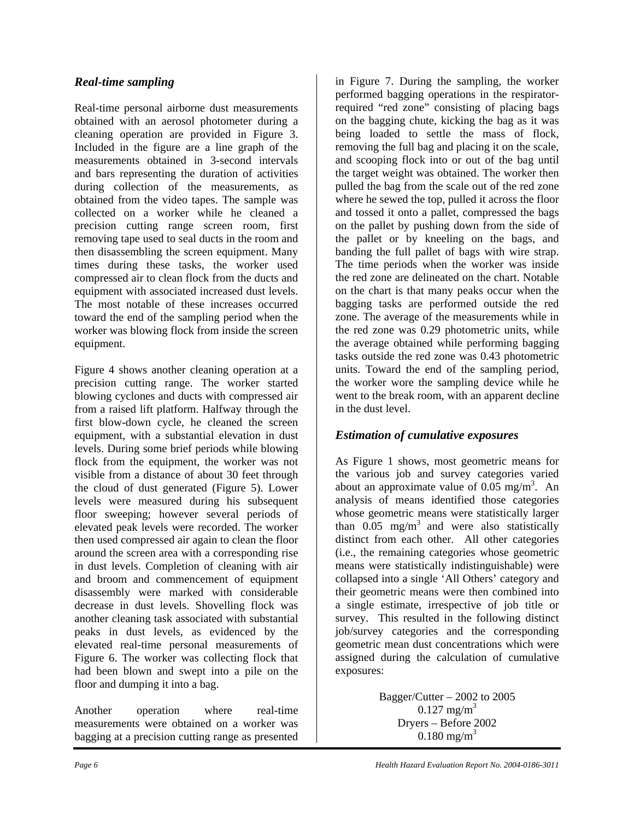#### *Real-time sampling*

Real-time personal airborne dust measurements obtained with an aerosol photometer during a cleaning operation are provided in Figure 3. Included in the figure are a line graph of the measurements obtained in 3-second intervals and bars representing the duration of activities during collection of the measurements, as obtained from the video tapes. The sample was collected on a worker while he cleaned a precision cutting range screen room, first removing tape used to seal ducts in the room and then disassembling the screen equipment. Many times during these tasks, the worker used compressed air to clean flock from the ducts and equipment with associated increased dust levels. The most notable of these increases occurred toward the end of the sampling period when the worker was blowing flock from inside the screen equipment.

Figure 4 shows another cleaning operation at a precision cutting range. The worker started blowing cyclones and ducts with compressed air from a raised lift platform. Halfway through the first blow-down cycle, he cleaned the screen equipment, with a substantial elevation in dust levels. During some brief periods while blowing flock from the equipment, the worker was not visible from a distance of about 30 feet through the cloud of dust generated (Figure 5). Lower levels were measured during his subsequent floor sweeping; however several periods of elevated peak levels were recorded. The worker then used compressed air again to clean the floor around the screen area with a corresponding rise in dust levels. Completion of cleaning with air and broom and commencement of equipment disassembly were marked with considerable decrease in dust levels. Shovelling flock was another cleaning task associated with substantial peaks in dust levels, as evidenced by the elevated real-time personal measurements of Figure 6. The worker was collecting flock that had been blown and swept into a pile on the floor and dumping it into a bag.

Another operation where real-time measurements were obtained on a worker was bagging at a precision cutting range as presented

in Figure 7. During the sampling, the worker performed bagging operations in the respiratorrequired "red zone" consisting of placing bags on the bagging chute, kicking the bag as it was being loaded to settle the mass of flock, removing the full bag and placing it on the scale, and scooping flock into or out of the bag until the target weight was obtained. The worker then pulled the bag from the scale out of the red zone where he sewed the top, pulled it across the floor and tossed it onto a pallet, compressed the bags on the pallet by pushing down from the side of the pallet or by kneeling on the bags, and banding the full pallet of bags with wire strap. The time periods when the worker was inside the red zone are delineated on the chart. Notable on the chart is that many peaks occur when the bagging tasks are performed outside the red zone. The average of the measurements while in the red zone was 0.29 photometric units, while the average obtained while performing bagging tasks outside the red zone was 0.43 photometric units. Toward the end of the sampling period, the worker wore the sampling device while he went to the break room, with an apparent decline in the dust level.

### *Estimation of cumulative exposures*

As Figure 1 shows, most geometric means for the various job and survey categories varied about an approximate value of  $0.05$  mg/m<sup>3</sup>. An analysis of means identified those categories whose geometric means were statistically larger than  $0.05$  mg/m<sup>3</sup> and were also statistically distinct from each other. All other categories (i.e., the remaining categories whose geometric means were statistically indistinguishable) were collapsed into a single 'All Others' category and their geometric means were then combined into a single estimate, irrespective of job title or survey. This resulted in the following distinct job/survey categories and the corresponding geometric mean dust concentrations which were assigned during the calculation of cumulative exposures:

> Bagger/Cutter – 2002 to 2005  $0.127$  mg/m<sup>3</sup> Dryers – Before 2002  $0.180 \text{ mg/m}^3$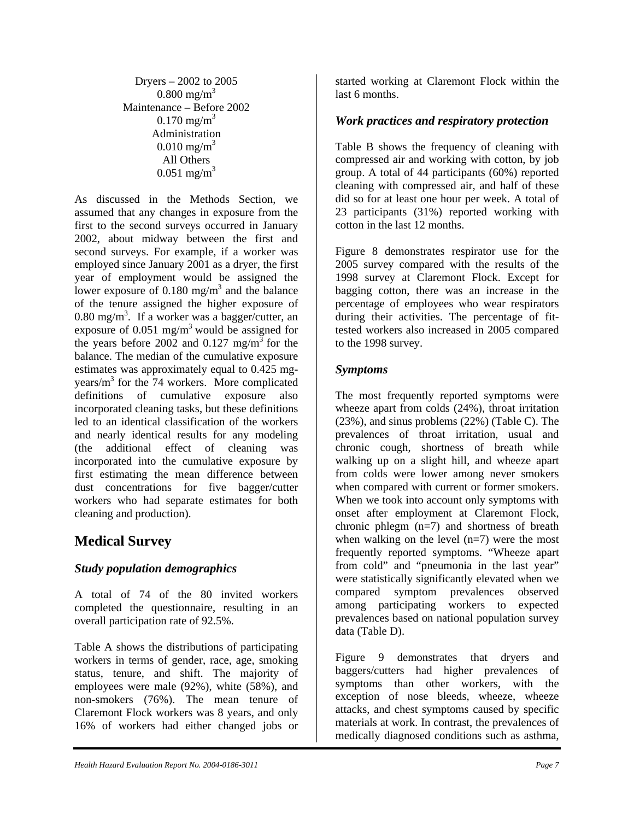Dryers – 2002 to 2005  $0.800 \text{ mg/m}^3$ Maintenance – Before 2002  $0.170 \text{ mg/m}^3$ Administration  $0.010 \text{ mg/m}^3$ All Others  $0.051$  mg/m<sup>3</sup>

As discussed in the Methods Section, we assumed that any changes in exposure from the first to the second surveys occurred in January 2002, about midway between the first and second surveys. For example, if a worker was employed since January 2001 as a dryer, the first year of employment would be assigned the lower exposure of  $0.180 \text{ mg/m}^3$  and the balance of the tenure assigned the higher exposure of  $0.80$  mg/m<sup>3</sup>. If a worker was a bagger/cutter, an exposure of  $0.051$  mg/m<sup>3</sup> would be assigned for the years before 2002 and 0.127 mg/m<sup>3</sup> for the balance. The median of the cumulative exposure estimates was approximately equal to 0.425 mgyears/m3 for the 74 workers. More complicated definitions of cumulative exposure also incorporated cleaning tasks, but these definitions led to an identical classification of the workers and nearly identical results for any modeling (the additional effect of cleaning was incorporated into the cumulative exposure by first estimating the mean difference between dust concentrations for five bagger/cutter workers who had separate estimates for both cleaning and production).

## **Medical Survey**

### *Study population demographics*

A total of 74 of the 80 invited workers completed the questionnaire, resulting in an overall participation rate of 92.5%.

Table A shows the distributions of participating workers in terms of gender, race, age, smoking status, tenure, and shift. The majority of employees were male (92%), white (58%), and non-smokers (76%). The mean tenure of Claremont Flock workers was 8 years, and only 16% of workers had either changed jobs or

started working at Claremont Flock within the last 6 months.

### *Work practices and respiratory protection*

Table B shows the frequency of cleaning with compressed air and working with cotton, by job group. A total of 44 participants (60%) reported cleaning with compressed air, and half of these did so for at least one hour per week. A total of 23 participants (31%) reported working with cotton in the last 12 months.

Figure 8 demonstrates respirator use for the 2005 survey compared with the results of the 1998 survey at Claremont Flock. Except for bagging cotton, there was an increase in the percentage of employees who wear respirators during their activities. The percentage of fittested workers also increased in 2005 compared to the 1998 survey.

#### *Symptoms*

The most frequently reported symptoms were wheeze apart from colds  $(24%)$ , throat irritation (23%), and sinus problems (22%) (Table C). The prevalences of throat irritation, usual and chronic cough, shortness of breath while walking up on a slight hill, and wheeze apart from colds were lower among never smokers when compared with current or former smokers. When we took into account only symptoms with onset after employment at Claremont Flock, chronic phlegm (n=7) and shortness of breath when walking on the level  $(n=7)$  were the most frequently reported symptoms. "Wheeze apart from cold" and "pneumonia in the last year" were statistically significantly elevated when we compared symptom prevalences observed among participating workers to expected prevalences based on national population survey data (Table D).

Figure 9 demonstrates that dryers and baggers/cutters had higher prevalences of symptoms than other workers, with the exception of nose bleeds, wheeze, wheeze attacks, and chest symptoms caused by specific materials at work. In contrast, the prevalences of medically diagnosed conditions such as asthma,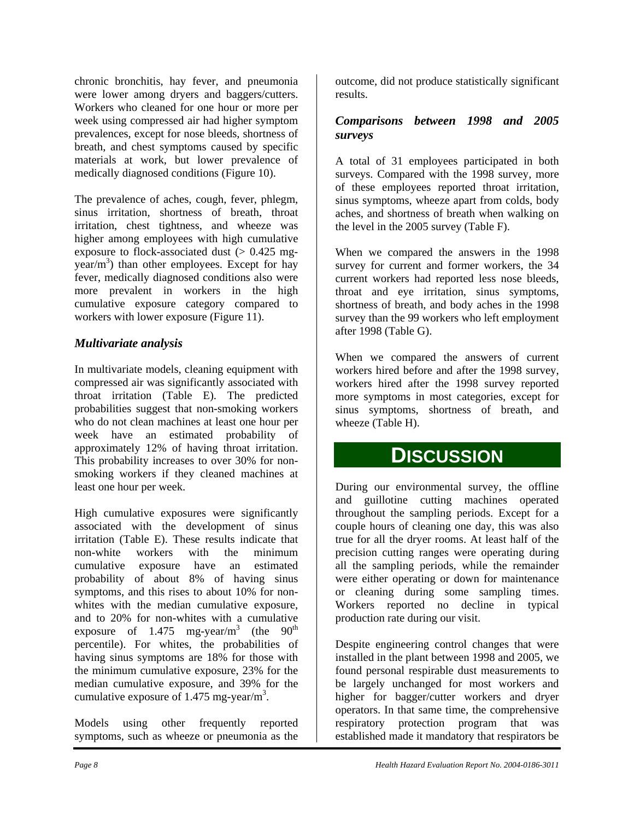chronic bronchitis, hay fever, and pneumonia were lower among dryers and baggers/cutters. Workers who cleaned for one hour or more per week using compressed air had higher symptom prevalences, except for nose bleeds, shortness of breath, and chest symptoms caused by specific materials at work, but lower prevalence of medically diagnosed conditions (Figure 10).

The prevalence of aches, cough, fever, phlegm, sinus irritation, shortness of breath, throat irritation, chest tightness, and wheeze was higher among employees with high cumulative exposure to flock-associated dust  $(> 0.425$  mg $year/m<sup>3</sup>$ ) than other employees. Except for hay fever, medically diagnosed conditions also were more prevalent in workers in the high cumulative exposure category compared to workers with lower exposure (Figure 11).

#### *Multivariate analysis*

In multivariate models, cleaning equipment with compressed air was significantly associated with throat irritation (Table E). The predicted probabilities suggest that non-smoking workers who do not clean machines at least one hour per week have an estimated probability of approximately 12% of having throat irritation. This probability increases to over 30% for nonsmoking workers if they cleaned machines at least one hour per week.

High cumulative exposures were significantly associated with the development of sinus irritation (Table E). These results indicate that non-white workers with the minimum cumulative exposure have an estimated probability of about 8% of having sinus symptoms, and this rises to about 10% for nonwhites with the median cumulative exposure, and to 20% for non-whites with a cumulative exposure of 1.475 mg-year/m<sup>3</sup> (the  $90<sup>th</sup>$ percentile). For whites, the probabilities of having sinus symptoms are 18% for those with the minimum cumulative exposure, 23% for the median cumulative exposure, and 39% for the cumulative exposure of 1.475 mg-year/m<sup>3</sup>.

Models using other frequently reported symptoms, such as wheeze or pneumonia as the

outcome, did not produce statistically significant results.

#### *Comparisons between 1998 and 2005 surveys*

A total of 31 employees participated in both surveys. Compared with the 1998 survey, more of these employees reported throat irritation, sinus symptoms, wheeze apart from colds, body aches, and shortness of breath when walking on the level in the 2005 survey (Table F).

When we compared the answers in the 1998 survey for current and former workers, the 34 current workers had reported less nose bleeds, throat and eye irritation, sinus symptoms, shortness of breath, and body aches in the 1998 survey than the 99 workers who left employment after 1998 (Table G).

When we compared the answers of current workers hired before and after the 1998 survey, workers hired after the 1998 survey reported more symptoms in most categories, except for sinus symptoms, shortness of breath, and wheeze (Table H).

## **DISCUSSION**

During our environmental survey, the offline and guillotine cutting machines operated throughout the sampling periods. Except for a couple hours of cleaning one day, this was also true for all the dryer rooms. At least half of the precision cutting ranges were operating during all the sampling periods, while the remainder were either operating or down for maintenance or cleaning during some sampling times. Workers reported no decline in typical production rate during our visit.

Despite engineering control changes that were installed in the plant between 1998 and 2005, we found personal respirable dust measurements to be largely unchanged for most workers and higher for bagger/cutter workers and dryer operators. In that same time, the comprehensive respiratory protection program that was established made it mandatory that respirators be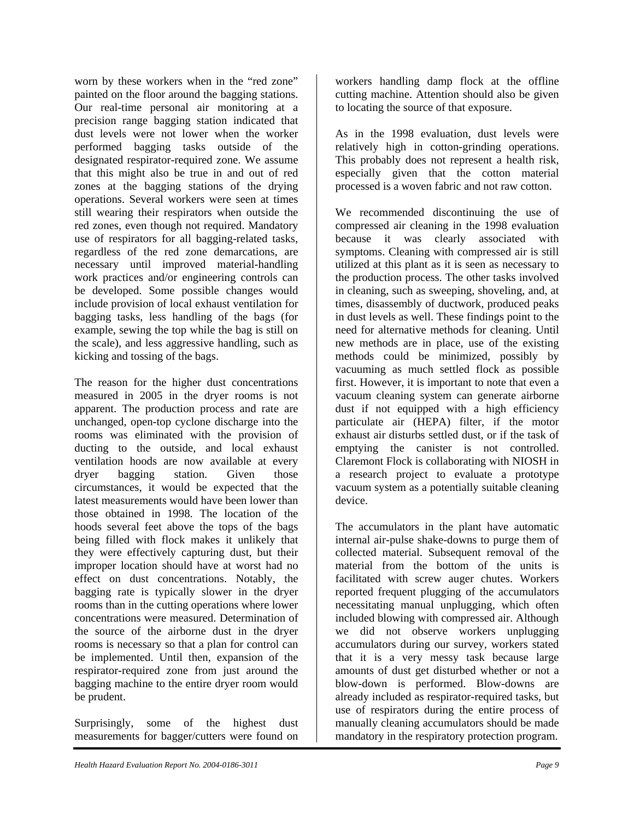worn by these workers when in the "red zone" painted on the floor around the bagging stations. Our real-time personal air monitoring at a precision range bagging station indicated that dust levels were not lower when the worker performed bagging tasks outside of the designated respirator-required zone. We assume that this might also be true in and out of red zones at the bagging stations of the drying operations. Several workers were seen at times still wearing their respirators when outside the red zones, even though not required. Mandatory use of respirators for all bagging-related tasks, regardless of the red zone demarcations, are necessary until improved material-handling work practices and/or engineering controls can be developed. Some possible changes would include provision of local exhaust ventilation for bagging tasks, less handling of the bags (for example, sewing the top while the bag is still on the scale), and less aggressive handling, such as kicking and tossing of the bags.

The reason for the higher dust concentrations measured in 2005 in the dryer rooms is not apparent. The production process and rate are unchanged, open-top cyclone discharge into the rooms was eliminated with the provision of ducting to the outside, and local exhaust ventilation hoods are now available at every dryer bagging station. Given those circumstances, it would be expected that the latest measurements would have been lower than those obtained in 1998. The location of the hoods several feet above the tops of the bags being filled with flock makes it unlikely that they were effectively capturing dust, but their improper location should have at worst had no effect on dust concentrations. Notably, the bagging rate is typically slower in the dryer rooms than in the cutting operations where lower concentrations were measured. Determination of the source of the airborne dust in the dryer rooms is necessary so that a plan for control can be implemented. Until then, expansion of the respirator-required zone from just around the bagging machine to the entire dryer room would be prudent.

Surprisingly, some of the highest dust measurements for bagger/cutters were found on

workers handling damp flock at the offline cutting machine. Attention should also be given to locating the source of that exposure.

As in the 1998 evaluation, dust levels were relatively high in cotton-grinding operations. This probably does not represent a health risk, especially given that the cotton material processed is a woven fabric and not raw cotton.

We recommended discontinuing the use of compressed air cleaning in the 1998 evaluation because it was clearly associated with symptoms. Cleaning with compressed air is still utilized at this plant as it is seen as necessary to the production process. The other tasks involved in cleaning, such as sweeping, shoveling, and, at times, disassembly of ductwork, produced peaks in dust levels as well. These findings point to the need for alternative methods for cleaning. Until new methods are in place, use of the existing methods could be minimized, possibly by vacuuming as much settled flock as possible first. However, it is important to note that even a vacuum cleaning system can generate airborne dust if not equipped with a high efficiency particulate air (HEPA) filter, if the motor exhaust air disturbs settled dust, or if the task of emptying the canister is not controlled. Claremont Flock is collaborating with NIOSH in a research project to evaluate a prototype vacuum system as a potentially suitable cleaning device.

The accumulators in the plant have automatic internal air-pulse shake-downs to purge them of collected material. Subsequent removal of the material from the bottom of the units is facilitated with screw auger chutes. Workers reported frequent plugging of the accumulators necessitating manual unplugging, which often included blowing with compressed air. Although we did not observe workers unplugging accumulators during our survey, workers stated that it is a very messy task because large amounts of dust get disturbed whether or not a blow-down is performed. Blow-downs are already included as respirator-required tasks, but use of respirators during the entire process of manually cleaning accumulators should be made mandatory in the respiratory protection program.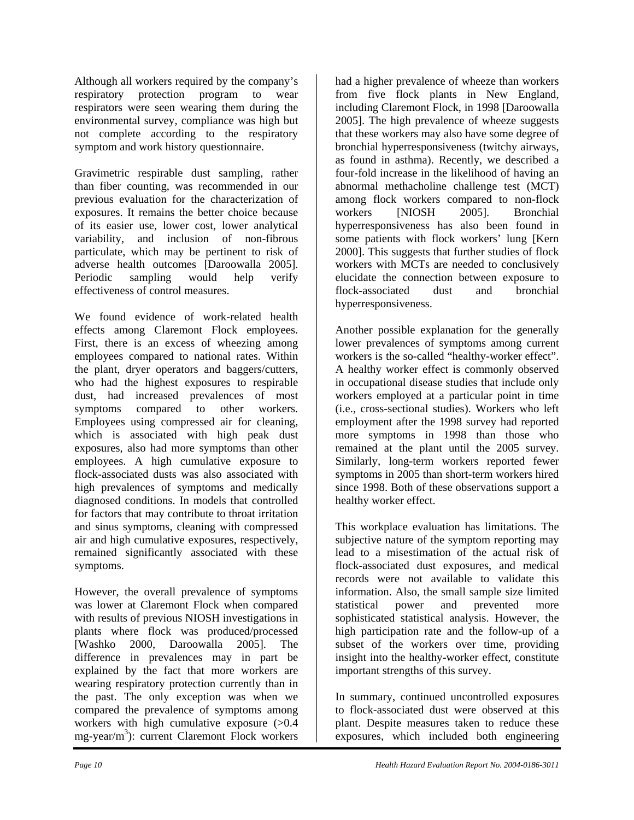Although all workers required by the company's respiratory protection program to wear respirators were seen wearing them during the environmental survey, compliance was high but not complete according to the respiratory symptom and work history questionnaire.

Gravimetric respirable dust sampling, rather than fiber counting, was recommended in our previous evaluation for the characterization of exposures. It remains the better choice because of its easier use, lower cost, lower analytical variability, and inclusion of non-fibrous particulate, which may be pertinent to risk of adverse health outcomes [Daroowalla 2005]. Periodic sampling would help verify effectiveness of control measures.

We found evidence of work-related health effects among Claremont Flock employees. First, there is an excess of wheezing among employees compared to national rates. Within the plant, dryer operators and baggers/cutters, who had the highest exposures to respirable dust, had increased prevalences of most symptoms compared to other workers. Employees using compressed air for cleaning, which is associated with high peak dust exposures, also had more symptoms than other employees. A high cumulative exposure to flock-associated dusts was also associated with high prevalences of symptoms and medically diagnosed conditions. In models that controlled for factors that may contribute to throat irritation and sinus symptoms, cleaning with compressed air and high cumulative exposures, respectively, remained significantly associated with these symptoms.

However, the overall prevalence of symptoms was lower at Claremont Flock when compared with results of previous NIOSH investigations in plants where flock was produced/processed [Washko 2000, Daroowalla 2005]. The difference in prevalences may in part be explained by the fact that more workers are wearing respiratory protection currently than in the past. The only exception was when we compared the prevalence of symptoms among workers with high cumulative exposure (>0.4 mg-year/m<sup>3</sup>): current Claremont Flock workers

had a higher prevalence of wheeze than workers from five flock plants in New England, including Claremont Flock, in 1998 [Daroowalla 2005]. The high prevalence of wheeze suggests that these workers may also have some degree of bronchial hyperresponsiveness (twitchy airways, as found in asthma). Recently, we described a four-fold increase in the likelihood of having an abnormal methacholine challenge test (MCT) among flock workers compared to non-flock workers [NIOSH 2005]. Bronchial hyperresponsiveness has also been found in some patients with flock workers' lung [Kern 2000]. This suggests that further studies of flock workers with MCTs are needed to conclusively elucidate the connection between exposure to flock-associated dust and bronchial hyperresponsiveness.

Another possible explanation for the generally lower prevalences of symptoms among current workers is the so-called "healthy-worker effect". A healthy worker effect is commonly observed in occupational disease studies that include only workers employed at a particular point in time (i.e., cross-sectional studies). Workers who left employment after the 1998 survey had reported more symptoms in 1998 than those who remained at the plant until the 2005 survey. Similarly, long-term workers reported fewer symptoms in 2005 than short-term workers hired since 1998. Both of these observations support a healthy worker effect.

This workplace evaluation has limitations. The subjective nature of the symptom reporting may lead to a misestimation of the actual risk of flock-associated dust exposures, and medical records were not available to validate this information. Also, the small sample size limited statistical power and prevented more sophisticated statistical analysis. However, the high participation rate and the follow-up of a subset of the workers over time, providing insight into the healthy-worker effect, constitute important strengths of this survey.

In summary, continued uncontrolled exposures to flock-associated dust were observed at this plant. Despite measures taken to reduce these exposures, which included both engineering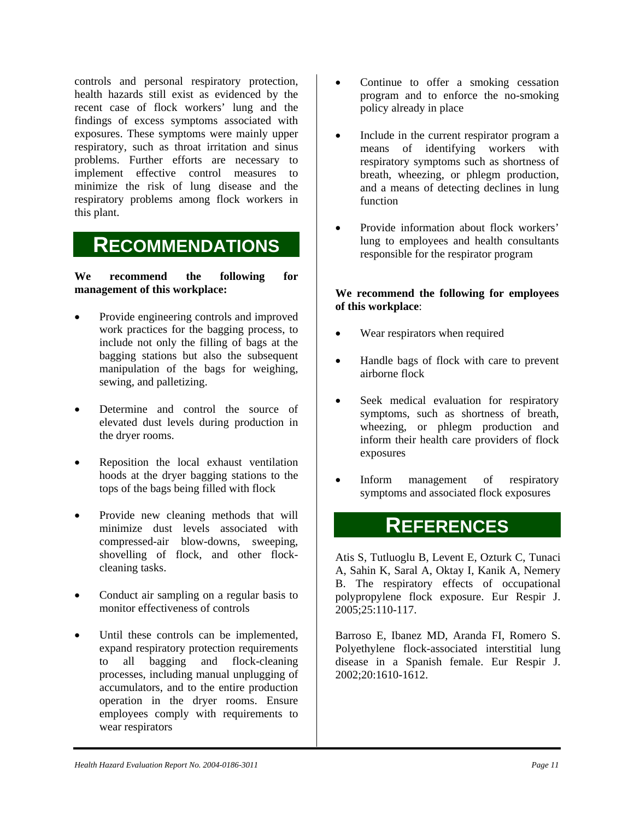controls and personal respiratory protection, health hazards still exist as evidenced by the recent case of flock workers' lung and the findings of excess symptoms associated with exposures. These symptoms were mainly upper respiratory, such as throat irritation and sinus problems. Further efforts are necessary to implement effective control measures to minimize the risk of lung disease and the respiratory problems among flock workers in this plant.

## **RECOMMENDATIONS**

**We recommend the following for management of this workplace:** 

- Provide engineering controls and improved work practices for the bagging process, to include not only the filling of bags at the bagging stations but also the subsequent manipulation of the bags for weighing, sewing, and palletizing.
- Determine and control the source of elevated dust levels during production in the dryer rooms.
- Reposition the local exhaust ventilation hoods at the dryer bagging stations to the tops of the bags being filled with flock
- Provide new cleaning methods that will minimize dust levels associated with compressed-air blow-downs, sweeping, shovelling of flock, and other flockcleaning tasks.
- Conduct air sampling on a regular basis to monitor effectiveness of controls
- Until these controls can be implemented, expand respiratory protection requirements to all bagging and flock-cleaning processes, including manual unplugging of accumulators, and to the entire production operation in the dryer rooms. Ensure employees comply with requirements to wear respirators
- Continue to offer a smoking cessation program and to enforce the no-smoking policy already in place
- Include in the current respirator program a means of identifying workers with respiratory symptoms such as shortness of breath, wheezing, or phlegm production, and a means of detecting declines in lung function
- Provide information about flock workers' lung to employees and health consultants responsible for the respirator program

#### **We recommend the following for employees of this workplace**:

- Wear respirators when required
- Handle bags of flock with care to prevent airborne flock
- Seek medical evaluation for respiratory symptoms, such as shortness of breath, wheezing, or phlegm production and inform their health care providers of flock exposures
- Inform management of respiratory symptoms and associated flock exposures

## **REFERENCES**

Atis S, Tutluoglu B, Levent E, Ozturk C, Tunaci A, Sahin K, Saral A, Oktay I, Kanik A, Nemery B. The respiratory effects of occupational polypropylene flock exposure. Eur Respir J. 2005;25:110-117.

Barroso E, Ibanez MD, Aranda FI, Romero S. Polyethylene flock-associated interstitial lung disease in a Spanish female. Eur Respir J. 2002;20:1610-1612.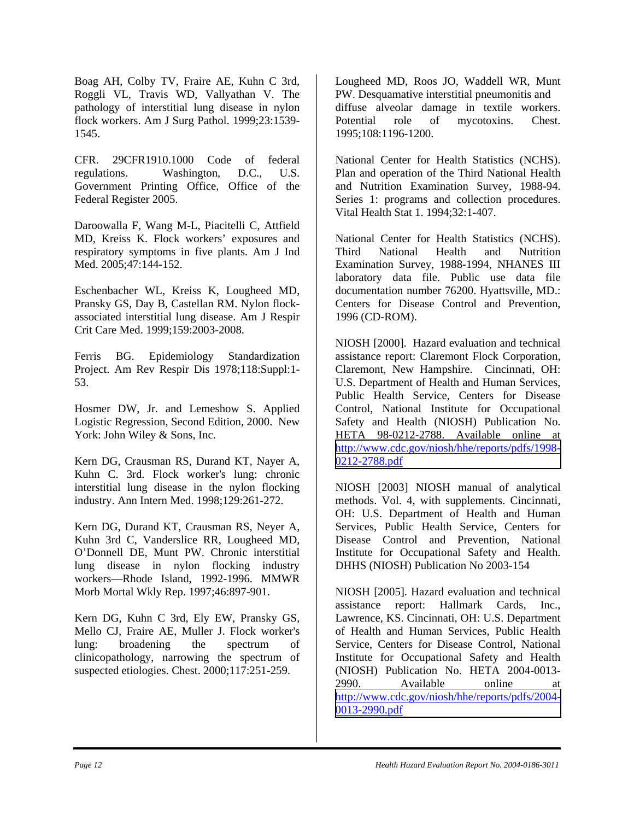Boag AH, Colby TV, Fraire AE, Kuhn C 3rd, Roggli VL, Travis WD, Vallyathan V. The pathology of interstitial lung disease in nylon flock workers. Am J Surg Pathol. 1999;23:1539- 1545.

CFR. 29CFR1910.1000 Code of federal regulations. Washington, D.C., U.S. Government Printing Office, Office of the Federal Register 2005.

Daroowalla F, Wang M-L, Piacitelli C, Attfield MD, Kreiss K. Flock workers' exposures and respiratory symptoms in five plants. Am J Ind Med. 2005;47:144-152.

Eschenbacher WL, Kreiss K, Lougheed MD, Pransky GS, Day B, Castellan RM. Nylon flockassociated interstitial lung disease. Am J Respir Crit Care Med. 1999;159:2003-2008.

Ferris BG. Epidemiology Standardization Project. Am Rev Respir Dis 1978;118:Suppl:1- 53.

Hosmer DW, Jr. and Lemeshow S. Applied Logistic Regression, Second Edition, 2000. New York: John Wiley & Sons, Inc.

Kern DG, Crausman RS, Durand KT, Nayer A, Kuhn C. 3rd. Flock worker's lung: chronic interstitial lung disease in the nylon flocking industry. Ann Intern Med. 1998;129:261-272.

Kern DG, Durand KT, Crausman RS, Neyer A, Kuhn 3rd C, Vanderslice RR, Lougheed MD, O'Donnell DE, Munt PW. Chronic interstitial lung disease in nylon flocking industry workers—Rhode Island, 1992-1996. MMWR Morb Mortal Wkly Rep. 1997;46:897-901.

Kern DG, Kuhn C 3rd, Ely EW, Pransky GS, Mello CJ, Fraire AE, Muller J. Flock worker's lung: broadening the spectrum of clinicopathology, narrowing the spectrum of suspected etiologies. Chest. 2000;117:251-259.

Lougheed MD, Roos JO, Waddell WR, Munt PW. Desquamative interstitial pneumonitis and diffuse alveolar damage in textile workers. Potential role of mycotoxins. Chest. 1995;108:1196-1200.

National Center for Health Statistics (NCHS). Plan and operation of the Third National Health and Nutrition Examination Survey, 1988-94. Series 1: programs and collection procedures. Vital Health Stat 1. 1994;32:1-407.

National Center for Health Statistics (NCHS). Third National Health and Nutrition Examination Survey, 1988-1994, NHANES III laboratory data file. Public use data file documentation number 76200. Hyattsville, MD.: Centers for Disease Control and Prevention, 1996 (CD-ROM).

NIOSH [2000]. Hazard evaluation and technical assistance report: Claremont Flock Corporation, Claremont, New Hampshire. Cincinnati, OH: U.S. Department of Health and Human Services, Public Health Service, Centers for Disease Control, National Institute for Occupational Safety and Health (NIOSH) Publication No. HETA 98-0212-2788. Available online at [http://www.cdc.gov/niosh/hhe/reports/pdfs/1998-](http://www.cdc.gov/niosh/hhe/reports/pdfs/1998-0212-2788.pdf) 0212-2788.pdf

NIOSH [2003] NIOSH manual of analytical methods. Vol. 4, with supplements. Cincinnati, OH: U.S. Department of Health and Human Services, Public Health Service, Centers for Disease Control and Prevention, National Institute for Occupational Safety and Health. DHHS (NIOSH) Publication No 2003-154

NIOSH [2005]. Hazard evaluation and technical assistance report: Hallmark Cards, Inc., Lawrence, KS. Cincinnati, OH: U.S. Department of Health and Human Services, Public Health Service, Centers for Disease Control, National Institute for Occupational Safety and Health (NIOSH) Publication No. HETA 2004-0013- 2990. Available online at [http://www.cdc.gov/niosh/hhe/reports/pdfs/2004-](http://www.cdc.gov/niosh/hhe/reports/pdfs/2004-0013-2990.pdf) 0013-2990.pdf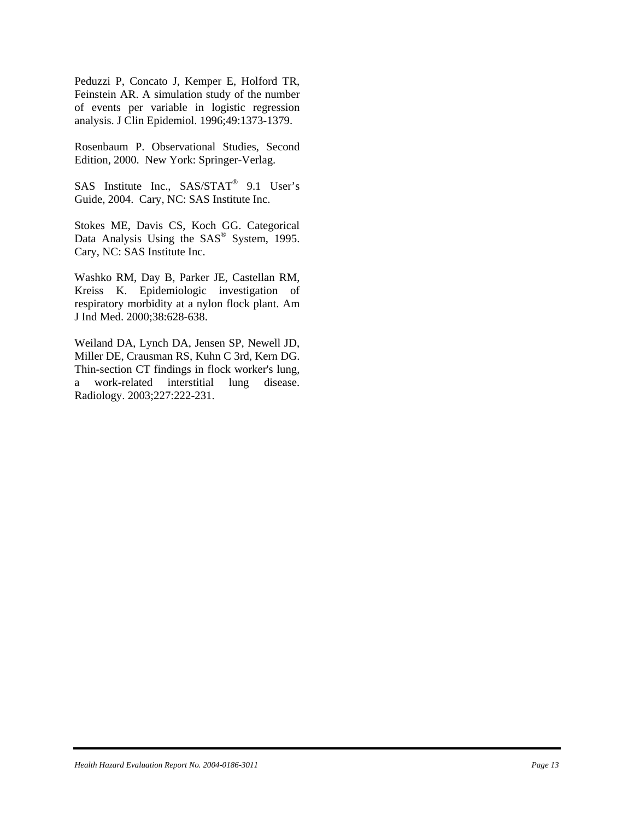Peduzzi P, Concato J, Kemper E, Holford TR, Feinstein AR. A simulation study of the number of events per variable in logistic regression analysis. J Clin Epidemiol. 1996;49:1373-1379.

Rosenbaum P. Observational Studies, Second Edition, 2000. New York: Springer-Verlag.

SAS Institute Inc., SAS/STAT® 9.1 User's Guide, 2004. Cary, NC: SAS Institute Inc.

Stokes ME, Davis CS, Koch GG. Categorical Data Analysis Using the SAS<sup>®</sup> System, 1995. Cary, NC: SAS Institute Inc.

Washko RM, Day B, Parker JE, Castellan RM, Kreiss K. Epidemiologic investigation of respiratory morbidity at a nylon flock plant. Am J Ind Med. 2000;38:628-638.

Weiland DA, Lynch DA, Jensen SP, Newell JD, Miller DE, Crausman RS, Kuhn C 3rd, Kern DG. Thin-section CT findings in flock worker's lung, a work-related interstitial lung disease. Radiology. 2003;227:222-231.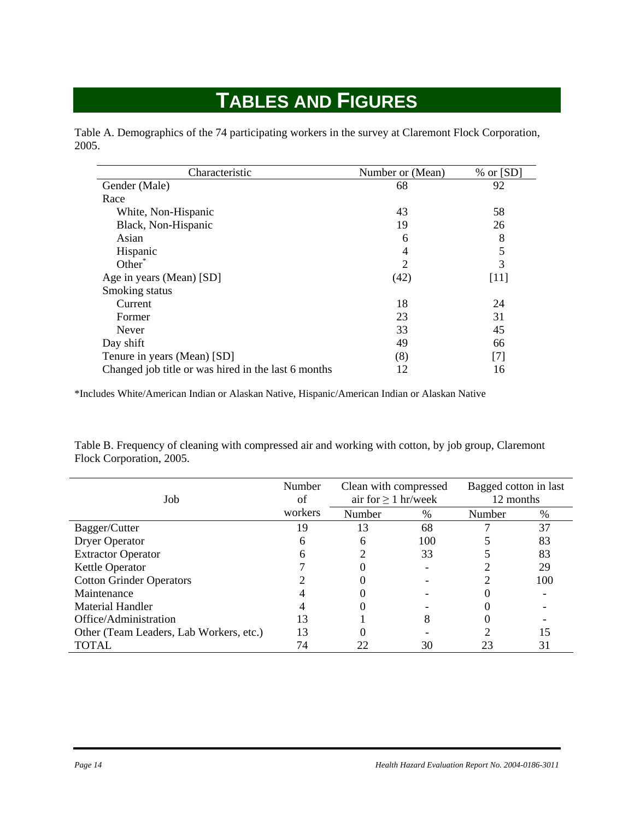## **TABLES AND FIGURES**

Table A. Demographics of the 74 participating workers in the survey at Claremont Flock Corporation, 2005.

| Characteristic                                      | Number or (Mean) | $%$ or [SD] |
|-----------------------------------------------------|------------------|-------------|
| Gender (Male)                                       | 68               | 92          |
| Race                                                |                  |             |
| White, Non-Hispanic                                 | 43               | 58          |
| Black, Non-Hispanic                                 | 19               | 26          |
| Asian                                               | 6                | 8           |
| Hispanic                                            | 4                | 5           |
| Other                                               | 2                | 3           |
| Age in years (Mean) [SD]                            | (42)             | $[11]$      |
| Smoking status                                      |                  |             |
| Current                                             | 18               | 24          |
| Former                                              | 23               | 31          |
| Never                                               | 33               | 45          |
| Day shift                                           | 49               | 66          |
| Tenure in years (Mean) [SD]                         | (8)              | $[7]$       |
| Changed job title or was hired in the last 6 months | 12               | 16          |

\*Includes White/American Indian or Alaskan Native, Hispanic/American Indian or Alaskan Native

Table B. Frequency of cleaning with compressed air and working with cotton, by job group, Claremont Flock Corporation, 2005.

| Job                                     | Number<br>Clean with compressed<br>air for $\geq 1$ hr/week<br>of |        |     | Bagged cotton in last<br>12 months |     |
|-----------------------------------------|-------------------------------------------------------------------|--------|-----|------------------------------------|-----|
|                                         | workers                                                           | Number | %   | Number                             | %   |
| Bagger/Cutter                           | 19                                                                | 13     | 68  |                                    | 37  |
| <b>Dryer Operator</b>                   | 6                                                                 | 6      | 100 |                                    | 83  |
| <b>Extractor Operator</b>               | h                                                                 |        | 33  |                                    | 83  |
| Kettle Operator                         |                                                                   |        |     |                                    | 29  |
| <b>Cotton Grinder Operators</b>         |                                                                   |        |     |                                    | 100 |
| Maintenance                             |                                                                   |        |     |                                    |     |
| Material Handler                        |                                                                   |        |     |                                    |     |
| Office/Administration                   | 13                                                                |        | 8   |                                    |     |
| Other (Team Leaders, Lab Workers, etc.) | 13                                                                |        |     |                                    | 15  |
| TOTAL                                   | 74                                                                | 22     | 30  | 23                                 | 31  |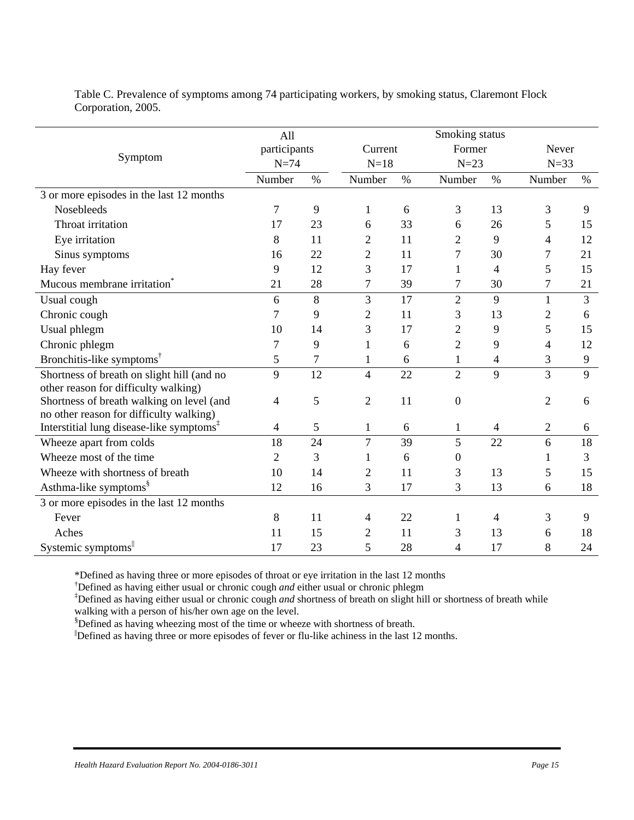Table C. Prevalence of symptoms among 74 participating workers, by smoking status, Claremont Flock Corporation, 2005.

|                                                      | All              |      |                  |         | Smoking status   |                |                |       |
|------------------------------------------------------|------------------|------|------------------|---------|------------------|----------------|----------------|-------|
|                                                      | participants     |      |                  | Current |                  | Former         |                | Never |
| Symptom                                              | $N=74$<br>$N=18$ |      | $N=23$           |         |                  | $N=33$         |                |       |
|                                                      | Number           | $\%$ | Number           | $\%$    | Number           | $\%$           | Number         | $\%$  |
| 3 or more episodes in the last 12 months             |                  |      |                  |         |                  |                |                |       |
| Nosebleeds                                           | 7                | 9    | $\mathbf{1}$     | 6       | 3                | 13             | 3              | 9     |
| Throat irritation                                    | 17               | 23   | 6                | 33      | 6                | 26             | 5              | 15    |
| Eye irritation                                       | 8                | 11   | $\mathfrak{2}$   | 11      | $\overline{2}$   | 9              | $\overline{4}$ | 12    |
| Sinus symptoms                                       | 16               | 22   | $\overline{2}$   | 11      | 7                | 30             | 7              | 21    |
| Hay fever                                            | 9                | 12   | 3                | 17      | 1                | $\overline{4}$ | 5              | 15    |
| Mucous membrane irritation <sup>®</sup>              | 21               | 28   | $\boldsymbol{7}$ | 39      | 7                | 30             | $\tau$         | 21    |
| Usual cough                                          | 6                | 8    | 3                | 17      | $\overline{2}$   | 9              | $\mathbf{1}$   | 3     |
| Chronic cough                                        | 7                | 9    | $\mathfrak{2}$   | 11      | 3                | 13             | $\overline{2}$ | 6     |
| Usual phlegm                                         | 10               | 14   | 3                | 17      | $\overline{c}$   | 9              | 5              | 15    |
| Chronic phlegm                                       | 7                | 9    | 1                | 6       | $\overline{2}$   | 9              | 4              | 12    |
| Bronchitis-like symptoms <sup>†</sup>                | 5                | 7    | $\mathbf{1}$     | 6       | $\mathbf{1}$     | $\overline{4}$ | 3              | 9     |
| Shortness of breath on slight hill (and no           | 9                | 12   | 4                | 22      | $\overline{2}$   | 9              | 3              | 9     |
| other reason for difficulty walking)                 |                  |      |                  |         |                  |                |                |       |
| Shortness of breath walking on level (and            | $\overline{4}$   | 5    | $\mathbf{2}$     | 11      | $\boldsymbol{0}$ |                | $\overline{2}$ | 6     |
| no other reason for difficulty walking)              |                  |      |                  |         |                  |                |                |       |
| Interstitial lung disease-like symptoms <sup>1</sup> | 4                | 5    | $\mathbf{1}$     | 6       | $\mathbf{1}$     | $\overline{4}$ | $\overline{2}$ | 6     |
| Wheeze apart from colds                              | 18               | 24   | 7                | 39      | 5                | 22             | 6              | 18    |
| Wheeze most of the time                              | $\overline{2}$   | 3    | 1                | 6       | $\boldsymbol{0}$ |                | 1              | 3     |
| Wheeze with shortness of breath                      | 10               | 14   | 2                | 11      | 3                | 13             | 5              | 15    |
| Asthma-like symptoms <sup>§</sup>                    | 12               | 16   | 3                | 17      | 3                | 13             | 6              | 18    |
| 3 or more episodes in the last 12 months             |                  |      |                  |         |                  |                |                |       |
| Fever                                                | 8                | 11   | 4                | 22      | 1                | 4              | 3              | 9     |
| Aches                                                | 11               | 15   | 2                | 11      | 3                | 13             | 6              | 18    |
| Systemic symptoms                                    | 17               | 23   | 5                | 28      | 4                | 17             | 8              | 24    |

\*Defined as having three or more episodes of throat or eye irritation in the last 12 months

† Defined as having either usual or chronic cough *and* either usual or chronic phlegm

‡ Defined as having either usual or chronic cough *and* shortness of breath on slight hill or shortness of breath while walking with a person of his/her own age on the level.

§ Defined as having wheezing most of the time or wheeze with shortness of breath.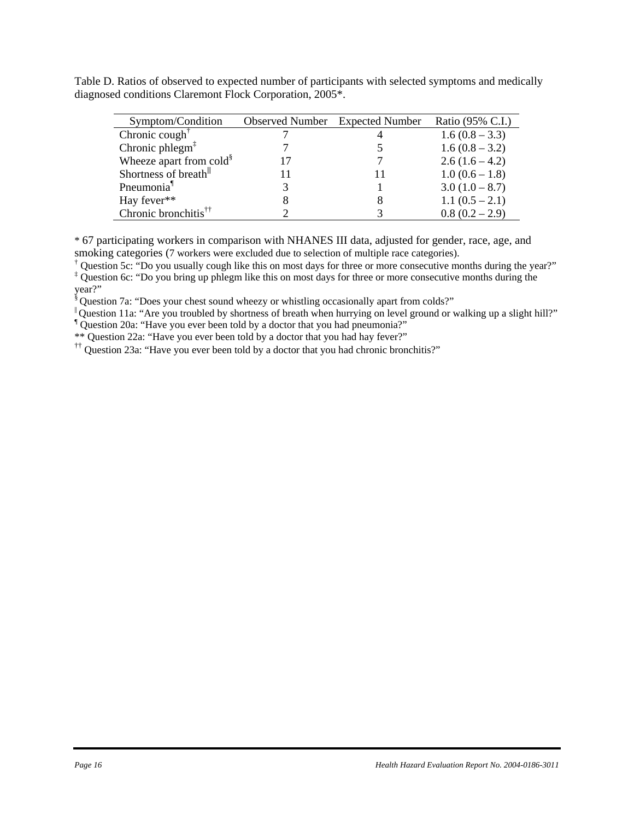Table D. Ratios of observed to expected number of participants with selected symptoms and medically diagnosed conditions Claremont Flock Corporation, 2005\*.

| Symptom/Condition                              | <b>Observed Number</b> Expected Number | Ratio (95% C.I.) |
|------------------------------------------------|----------------------------------------|------------------|
| Chronic cough <sup><math>\uparrow</math></sup> |                                        | $1.6(0.8-3.3)$   |
| Chronic phlegm $1$                             |                                        | $1.6(0.8-3.2)$   |
| Wheeze apart from cold <sup>§</sup>            |                                        | $2.6(1.6-4.2)$   |
| Shortness of breath <sup>  </sup>              |                                        | $1.0(0.6-1.8)$   |
| Pneumonia <sup>1</sup>                         |                                        | $3.0(1.0-8.7)$   |
| Hay fever**                                    |                                        | $1.1(0.5 - 2.1)$ |
| Chronic bronchitis <sup>††</sup>               |                                        | $0.8(0.2 - 2.9)$ |

\* 67 participating workers in comparison with NHANES III data, adjusted for gender, race, age, and smoking categories (7 workers were excluded due to selection of multiple race categories).

† Question 5c: "Do you usually cough like this on most days for three or more consecutive months during the year?" ‡ Question 6c: "Do you bring up phlegm like this on most days for three or more consecutive months during the year?"

§ Question 7a: "Does your chest sound wheezy or whistling occasionally apart from colds?"

|| Question 11a: "Are you troubled by shortness of breath when hurrying on level ground or walking up a slight hill?"

¶ Question 20a: "Have you ever been told by a doctor that you had pneumonia?"

\*\* Question 22a: "Have you ever been told by a doctor that you had hay fever?"

 $\ddot{\,}$  T Question 23a: "Have you ever been told by a doctor that you had chronic bronchitis?"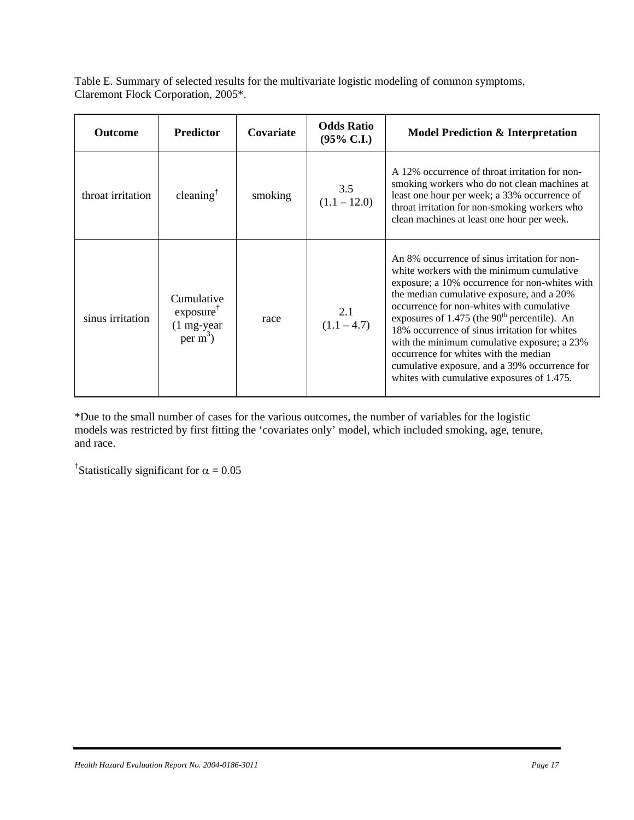Table E. Summary of selected results for the multivariate logistic modeling of common symptoms, Claremont Flock Corporation, 2005\*.

| <b>Outcome</b>    | <b>Predictor</b>                                                            | Covariate | <b>Odds Ratio</b><br>$(95\% \text{ C.I.})$ | <b>Model Prediction &amp; Interpretation</b>                                                                                                                                                                                                                                                                                                                                                                                                                                                                                       |
|-------------------|-----------------------------------------------------------------------------|-----------|--------------------------------------------|------------------------------------------------------------------------------------------------------------------------------------------------------------------------------------------------------------------------------------------------------------------------------------------------------------------------------------------------------------------------------------------------------------------------------------------------------------------------------------------------------------------------------------|
| throat irritation | cleaning <sup>†</sup>                                                       | smoking   | 3.5<br>$(1.1 - 12.0)$                      | A 12% occurrence of throat irritation for non-<br>smoking workers who do not clean machines at<br>least one hour per week; a 33% occurrence of<br>throat irritation for non-smoking workers who<br>clean machines at least one hour per week.                                                                                                                                                                                                                                                                                      |
| sinus irritation  | Cumulative<br>exposure <sup>†</sup><br>$(1 \text{ mg-year})$<br>$per m^3$ ) | race      | 2.1<br>$(1.1 - 4.7)$                       | An 8% occurrence of sinus irritation for non-<br>white workers with the minimum cumulative<br>exposure; a 10% occurrence for non-whites with<br>the median cumulative exposure, and a 20%<br>occurrence for non-whites with cumulative<br>exposures of $1.475$ (the $90th$ percentile). An<br>18% occurrence of sinus irritation for whites<br>with the minimum cumulative exposure; a 23%<br>occurrence for whites with the median<br>cumulative exposure, and a 39% occurrence for<br>whites with cumulative exposures of 1.475. |

\*Due to the small number of cases for the various outcomes, the number of variables for the logistic models was restricted by first fitting the 'covariates only' model, which included smoking, age, tenure, and race.

<sup>†</sup>Statistically significant for  $\alpha = 0.05$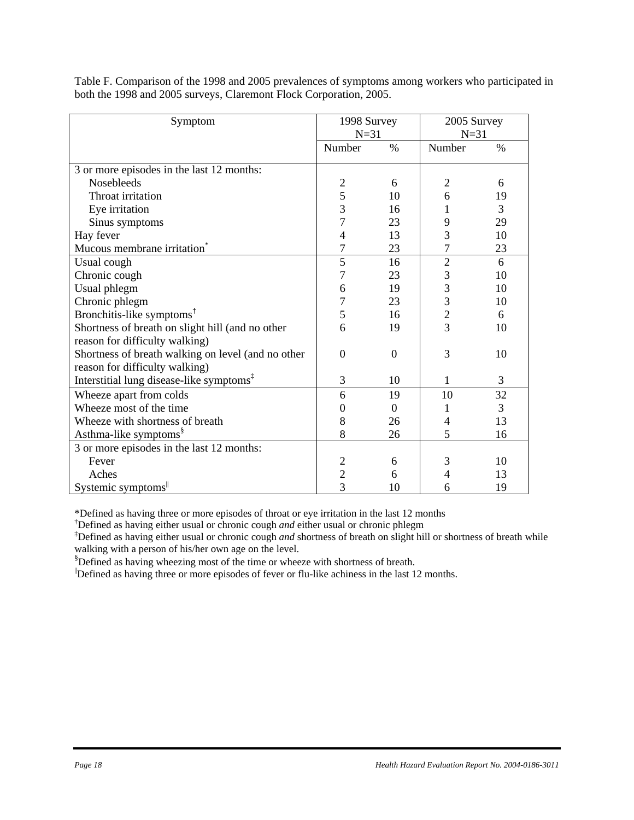| Symptom                                              |                  | 1998 Survey   |                | 2005 Survey |  |
|------------------------------------------------------|------------------|---------------|----------------|-------------|--|
|                                                      | $N=31$           |               | $N=31$         |             |  |
|                                                      | Number           | $\frac{0}{0}$ | Number         | $\%$        |  |
| 3 or more episodes in the last 12 months:            |                  |               |                |             |  |
| Nosebleeds                                           | $\mathfrak{2}$   | 6             | $\overline{2}$ | 6           |  |
| Throat irritation                                    | 5                | 10            | 6              | 19          |  |
| Eye irritation                                       | 3                | 16            |                | 3           |  |
| Sinus symptoms                                       | 7                | 23            | 9              | 29          |  |
| Hay fever                                            | 4                | 13            | 3              | 10          |  |
| Mucous membrane irritation <sup>®</sup>              | $\overline{7}$   | 23            | 7              | 23          |  |
| Usual cough                                          | 5                | 16            | $\overline{2}$ | 6           |  |
| Chronic cough                                        | 7                | 23            | 3              | 10          |  |
| Usual phlegm                                         | 6                | 19            | 3              | 10          |  |
| Chronic phlegm                                       | 7                | 23            | 3              | 10          |  |
| Bronchitis-like symptoms <sup>†</sup>                | 5                | 16            | $\overline{2}$ | 6           |  |
| Shortness of breath on slight hill (and no other     | 6                | 19            | 3              | 10          |  |
| reason for difficulty walking)                       |                  |               |                |             |  |
| Shortness of breath walking on level (and no other   | $\mathbf{0}$     | $\Omega$      | 3              | 10          |  |
| reason for difficulty walking)                       |                  |               |                |             |  |
| Interstitial lung disease-like symptoms <sup>‡</sup> | 3                | 10            | 1              | 3           |  |
| Wheeze apart from colds                              | 6                | 19            | 10             | 32          |  |
| Wheeze most of the time                              | $\boldsymbol{0}$ | $\theta$      | 1              | 3           |  |
| Wheeze with shortness of breath                      | 8                | 26            | 4              | 13          |  |
| Asthma-like symptoms <sup>§</sup>                    | 8                | 26            | 5              | 16          |  |
| 3 or more episodes in the last 12 months:            |                  |               |                |             |  |
| Fever                                                | $\overline{c}$   | 6             | 3              | 10          |  |
| Aches                                                | $\frac{2}{3}$    | 6             | 4              | 13          |  |
| Systemic symptoms                                    |                  | 10            | 6              | 19          |  |

Table F. Comparison of the 1998 and 2005 prevalences of symptoms among workers who participated in both the 1998 and 2005 surveys, Claremont Flock Corporation, 2005.

\*Defined as having three or more episodes of throat or eye irritation in the last 12 months

† Defined as having either usual or chronic cough *and* either usual or chronic phlegm

‡ Defined as having either usual or chronic cough *and* shortness of breath on slight hill or shortness of breath while walking with a person of his/her own age on the level.

§ Defined as having wheezing most of the time or wheeze with shortness of breath.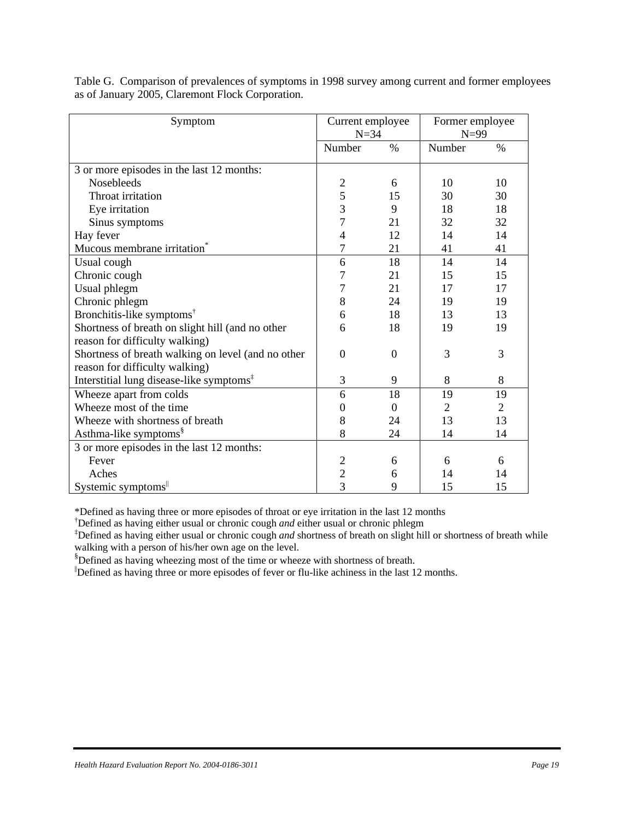| Symptom                                              |                  | Current employee<br>$N=34$ |                | Former employee<br>$N=99$ |
|------------------------------------------------------|------------------|----------------------------|----------------|---------------------------|
|                                                      | Number           | $\%$                       | Number         | $\%$                      |
| 3 or more episodes in the last 12 months:            |                  |                            |                |                           |
| <b>Nosebleeds</b>                                    |                  | 6                          | 10             | 10                        |
| Throat irritation                                    | $rac{2}{5}$      | 15                         | 30             | 30                        |
| Eye irritation                                       | 3                | 9                          | 18             | 18                        |
| Sinus symptoms                                       | $\overline{7}$   | 21                         | 32             | 32                        |
| Hay fever                                            | 4                | 12                         | 14             | 14                        |
| Mucous membrane irritation <sup>*</sup>              | $\overline{7}$   | 21                         | 41             | 41                        |
| Usual cough                                          | 6                | 18                         | 14             | 14                        |
| Chronic cough                                        | $\overline{7}$   | 21                         | 15             | 15                        |
| Usual phlegm                                         | 7                | 21                         | 17             | 17                        |
| Chronic phlegm                                       | 8                | 24                         | 19             | 19                        |
| Bronchitis-like symptoms <sup>†</sup>                | 6                | 18                         | 13             | 13                        |
| Shortness of breath on slight hill (and no other     | 6                | 18                         | 19             | 19                        |
| reason for difficulty walking)                       |                  |                            |                |                           |
| Shortness of breath walking on level (and no other   | $\theta$         | $\Omega$                   | 3              | 3                         |
| reason for difficulty walking)                       |                  |                            |                |                           |
| Interstitial lung disease-like symptoms <sup>‡</sup> | 3                | 9                          | 8              | 8                         |
| Wheeze apart from colds                              | 6                | 18                         | 19             | 19                        |
| Wheeze most of the time                              | $\boldsymbol{0}$ | $\theta$                   | $\overline{2}$ | $\overline{2}$            |
| Wheeze with shortness of breath                      | 8                | 24                         | 13             | 13                        |
| Asthma-like symptoms <sup>§</sup>                    | 8                | 24                         | 14             | 14                        |
| 3 or more episodes in the last 12 months:            |                  |                            |                |                           |
| Fever                                                | $\overline{c}$   | 6                          | 6              | 6                         |
| Aches                                                | $\frac{2}{3}$    | 6                          | 14             | 14                        |
| Systemic symptoms                                    |                  | 9                          | 15             | 15                        |

Table G. Comparison of prevalences of symptoms in 1998 survey among current and former employees as of January 2005, Claremont Flock Corporation.

\*Defined as having three or more episodes of throat or eye irritation in the last 12 months

† Defined as having either usual or chronic cough *and* either usual or chronic phlegm

‡ Defined as having either usual or chronic cough *and* shortness of breath on slight hill or shortness of breath while walking with a person of his/her own age on the level.

§ Defined as having wheezing most of the time or wheeze with shortness of breath.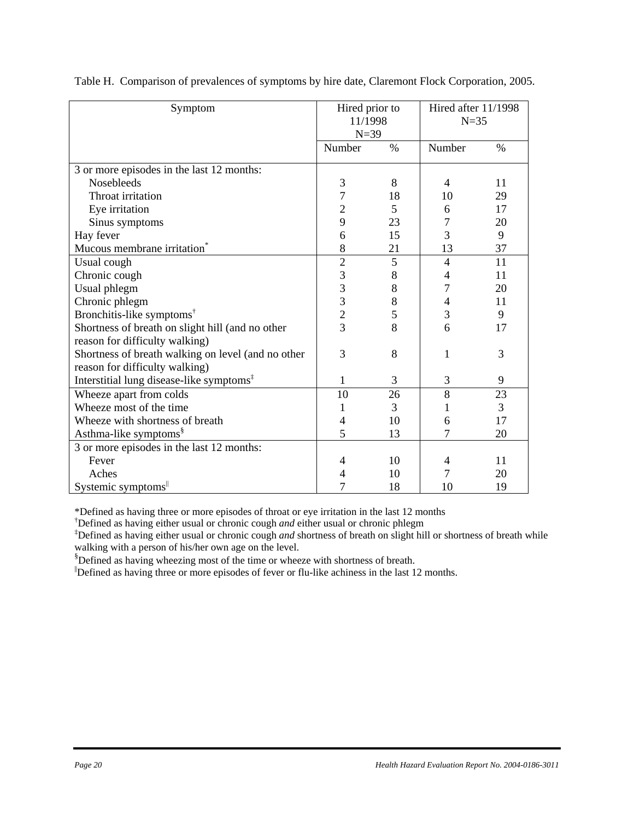| Symptom                                              | Hired prior to<br>11/1998<br>$N=39$ |      | Hired after 11/1998<br>$N=35$ |      |
|------------------------------------------------------|-------------------------------------|------|-------------------------------|------|
|                                                      | Number                              | $\%$ | Number                        | $\%$ |
| 3 or more episodes in the last 12 months:            |                                     |      |                               |      |
| <b>Nosebleeds</b>                                    | 3                                   | 8    | 4                             | 11   |
| Throat irritation                                    | 7                                   | 18   | 10                            | 29   |
| Eye irritation                                       | $\overline{2}$                      | 5    | 6                             | 17   |
| Sinus symptoms                                       | 9                                   | 23   | 7                             | 20   |
| Hay fever                                            | 6                                   | 15   | 3                             | 9    |
| Mucous membrane irritation <sup>*</sup>              | 8                                   | 21   | 13                            | 37   |
| Usual cough                                          | $\overline{2}$                      | 5    | $\overline{4}$                | 11   |
| Chronic cough                                        | 3                                   | 8    | 4                             | 11   |
| Usual phlegm                                         | 3                                   | 8    | 7                             | 20   |
| Chronic phlegm                                       | 3                                   | 8    | 4                             | 11   |
| Bronchitis-like symptoms <sup>†</sup>                | $\overline{c}$                      | 5    | 3                             | 9    |
| Shortness of breath on slight hill (and no other     | 3                                   | 8    | 6                             | 17   |
| reason for difficulty walking)                       |                                     |      |                               |      |
| Shortness of breath walking on level (and no other   | 3                                   | 8    | 1                             | 3    |
| reason for difficulty walking)                       |                                     |      |                               |      |
| Interstitial lung disease-like symptoms <sup>‡</sup> | $\mathbf{1}$                        | 3    | 3                             | 9    |
| Wheeze apart from colds                              | 10                                  | 26   | 8                             | 23   |
| Wheeze most of the time                              | 1                                   | 3    |                               | 3    |
| Wheeze with shortness of breath                      | 4                                   | 10   | 6                             | 17   |
| Asthma-like symptoms <sup>§</sup>                    | 5                                   | 13   | 7                             | 20   |
| 3 or more episodes in the last 12 months:            |                                     |      |                               |      |
| Fever                                                | 4                                   | 10   | 4                             | 11   |
| Aches                                                | 4                                   | 10   |                               | 20   |
| Systemic symptoms                                    | 7                                   | 18   | 10                            | 19   |

Table H. Comparison of prevalences of symptoms by hire date, Claremont Flock Corporation, 2005.

\*Defined as having three or more episodes of throat or eye irritation in the last 12 months

† Defined as having either usual or chronic cough *and* either usual or chronic phlegm

‡ Defined as having either usual or chronic cough *and* shortness of breath on slight hill or shortness of breath while walking with a person of his/her own age on the level.

§ Defined as having wheezing most of the time or wheeze with shortness of breath.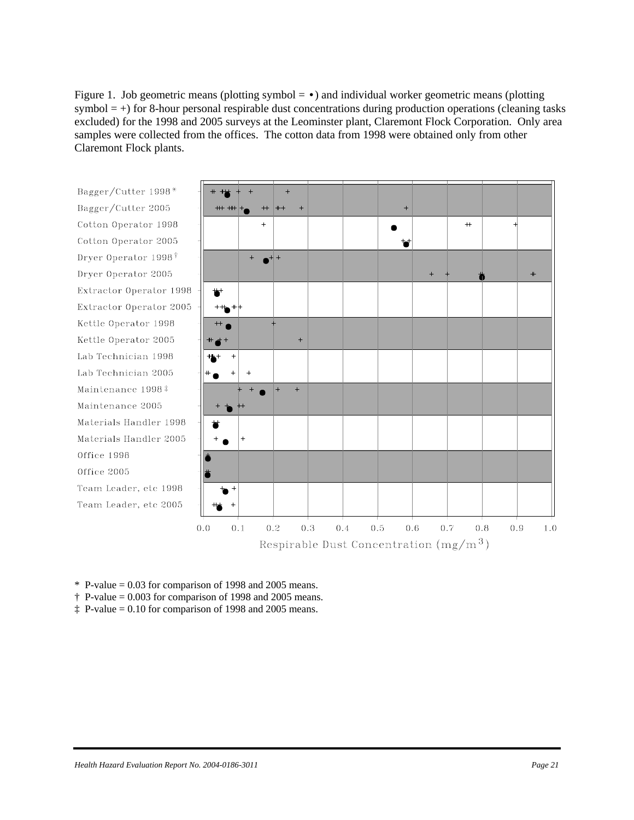Figure 1. Job geometric means (plotting symbol  $= \cdot$ ) and individual worker geometric means (plotting symbol  $= +$ ) for 8-hour personal respirable dust concentrations during production operations (cleaning tasks excluded) for the 1998 and 2005 surveys at the Leominster plant, Claremont Flock Corporation. Only area samples were collected from the offices. The cotton data from 1998 were obtained only from other Claremont Flock plants.



 $*$  P-value = 0.03 for comparison of 1998 and 2005 means.

 $\dagger$  P-value = 0.003 for comparison of 1998 and 2005 means.

 $\ddagger$  P-value = 0.10 for comparison of 1998 and 2005 means.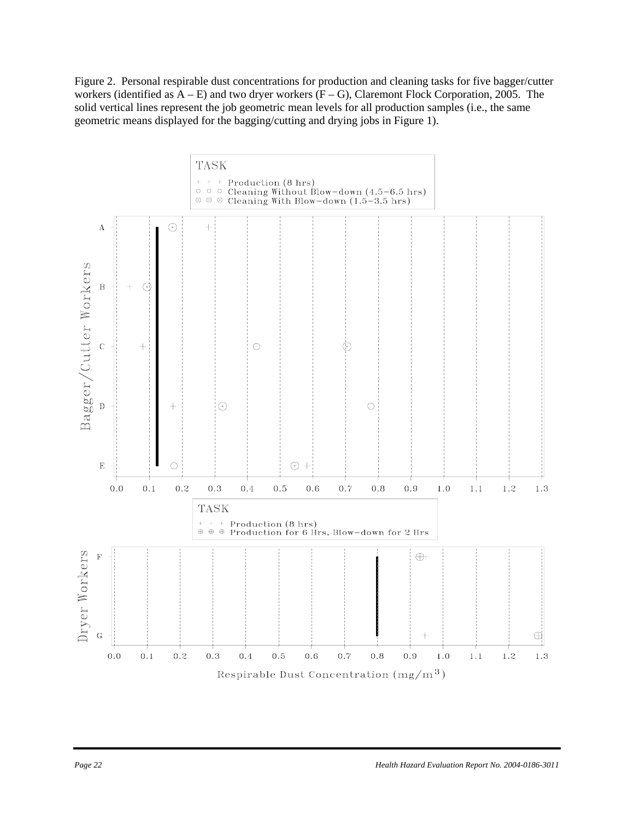Figure 2. Personal respirable dust concentrations for production and cleaning tasks for five bagger/cutter workers (identified as  $A - E$ ) and two dryer workers  $(F - G)$ , Claremont Flock Corporation, 2005. The solid vertical lines represent the job geometric mean levels for all production samples (i.e., the same geometric means displayed for the bagging/cutting and drying jobs in Figure 1).

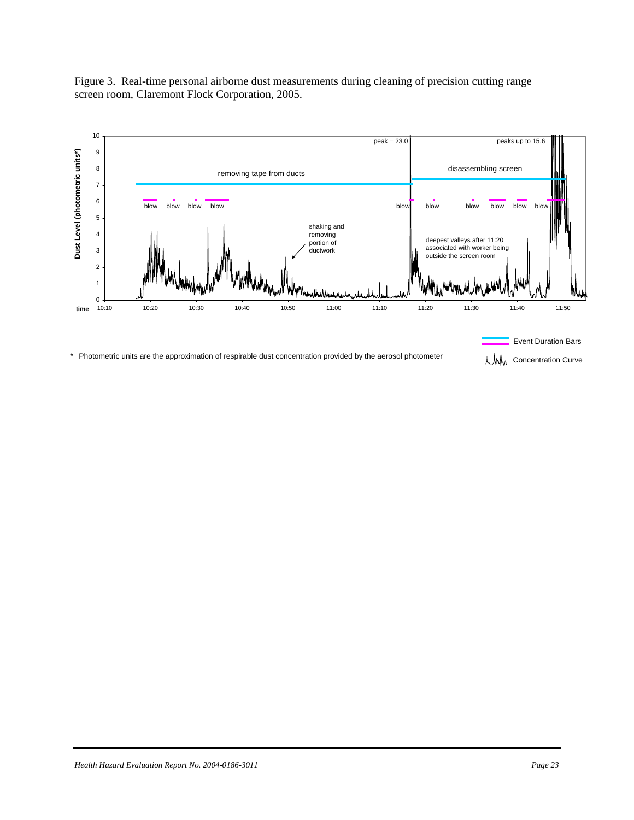Figure 3. Real-time personal airborne dust measurements during cleaning of precision cutting range screen room, Claremont Flock Corporation, 2005.

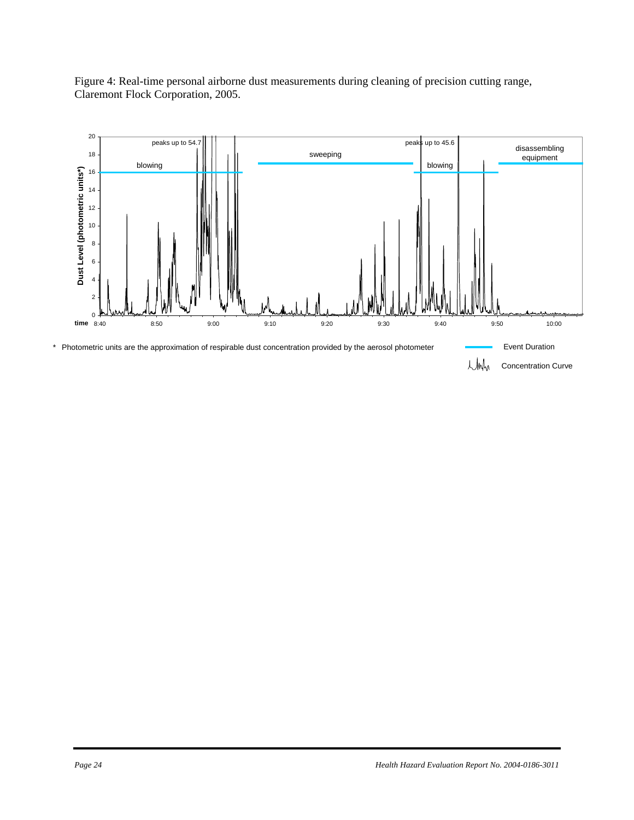

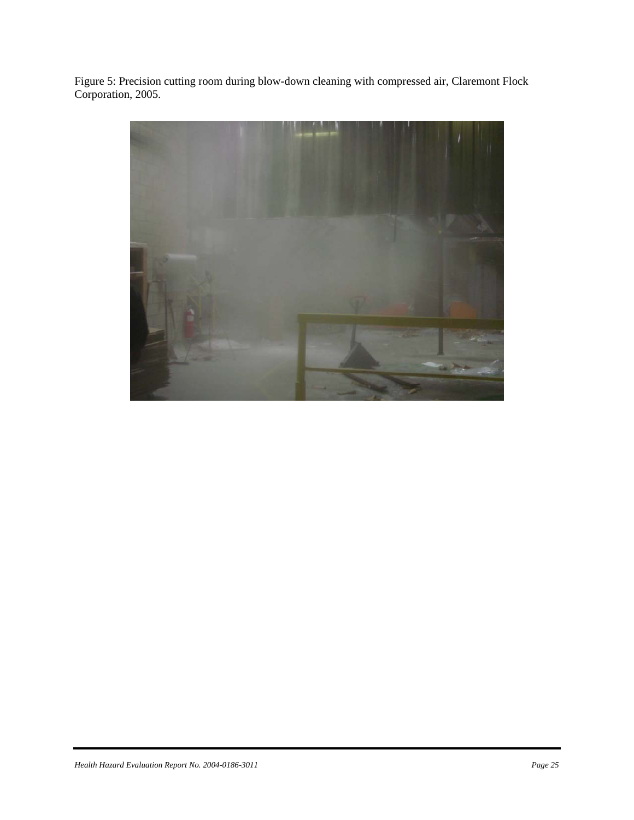Figure 5: Precision cutting room during blow-down cleaning with compressed air, Claremont Flock Corporation, 2005.

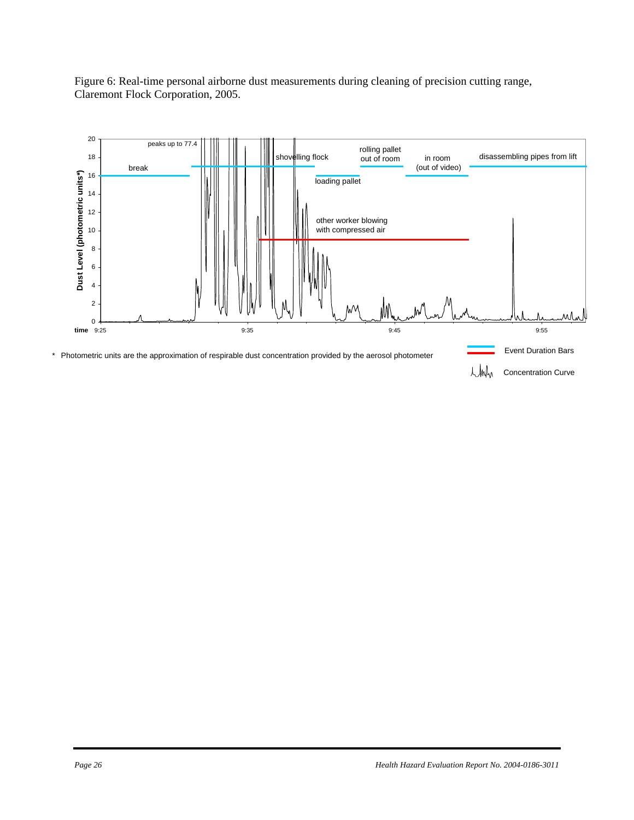

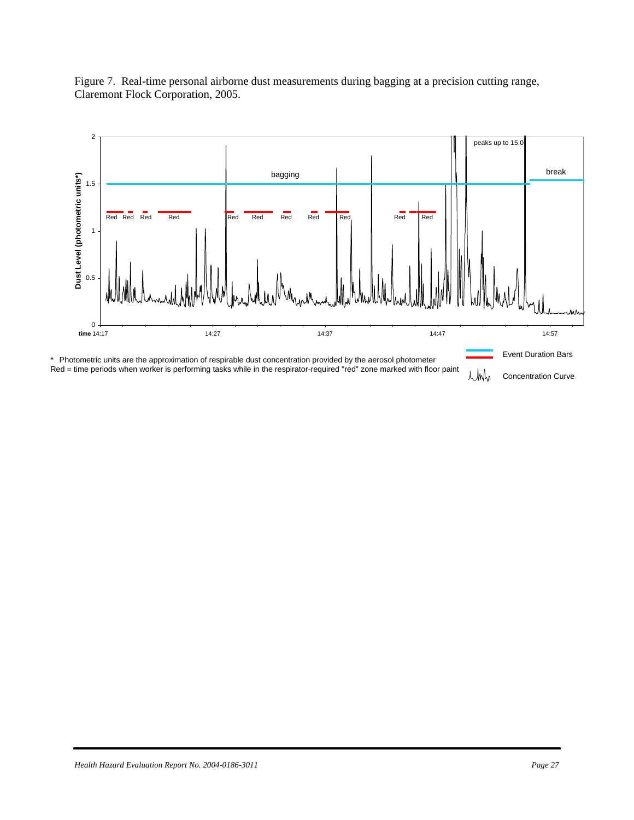

Figure 7. Real-time personal airborne dust measurements during bagging at a precision cutting range, Claremont Flock Corporation, 2005.

Red = time periods when worker is performing tasks while in the respirator-required "red" zone marked with floor paint L/Mh Concentration Curve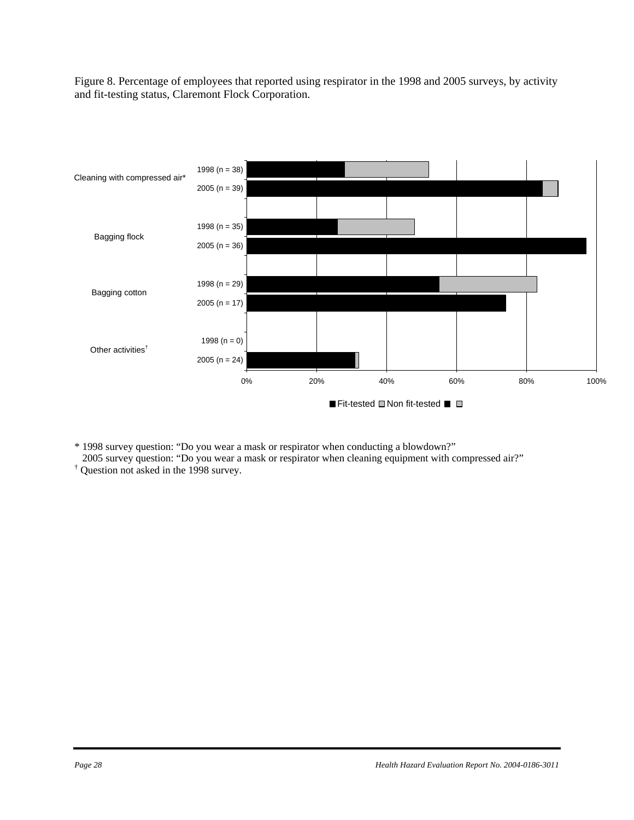Figure 8. Percentage of employees that reported using respirator in the 1998 and 2005 surveys, by activity and fit-testing status, Claremont Flock Corporation.



\* 1998 survey question: "Do you wear a mask or respirator when conducting a blowdown?"

2005 survey question: "Do you wear a mask or respirator when cleaning equipment with compressed air?"

† Question not asked in the 1998 survey.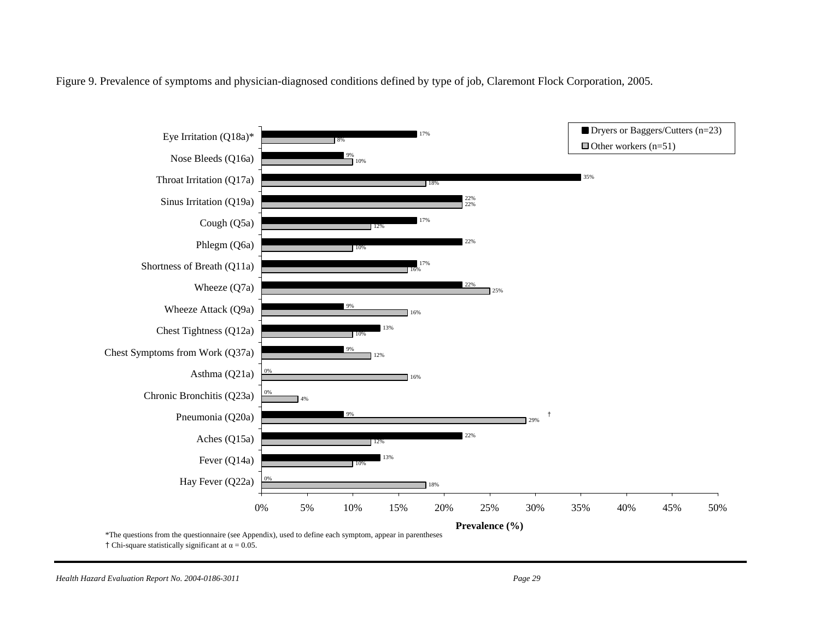Figure 9. Prevalence of symptoms and physician-diagnosed conditions defined by type of job, Claremont Flock Corporation, 2005.



<sup>†</sup> Chi-square statistically significant at  $\alpha = 0.05$ .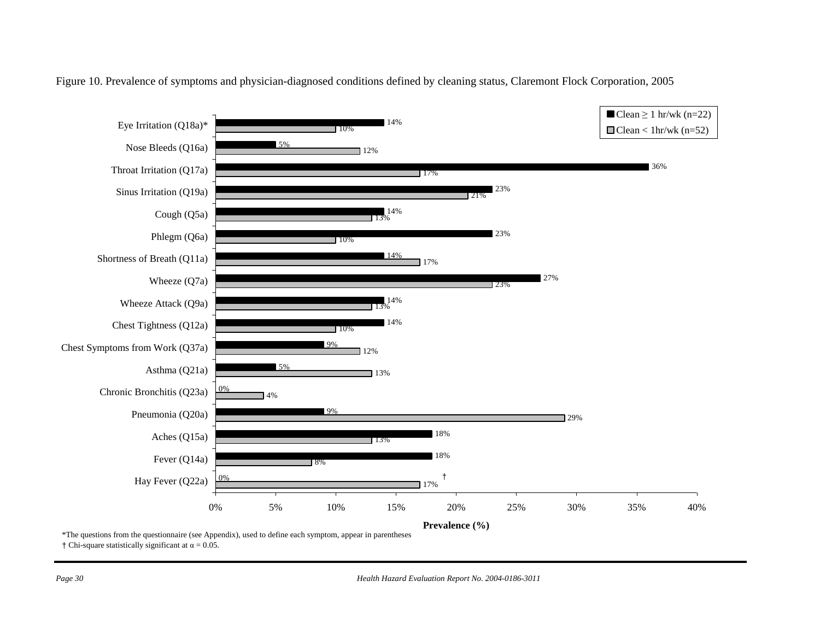

#### Figure 10. Prevalence of symptoms and physician-diagnosed conditions defined by cleaning status, Claremont Flock Corporation, 2005

† Chi-square statistically significant at  $\alpha = 0.05$ .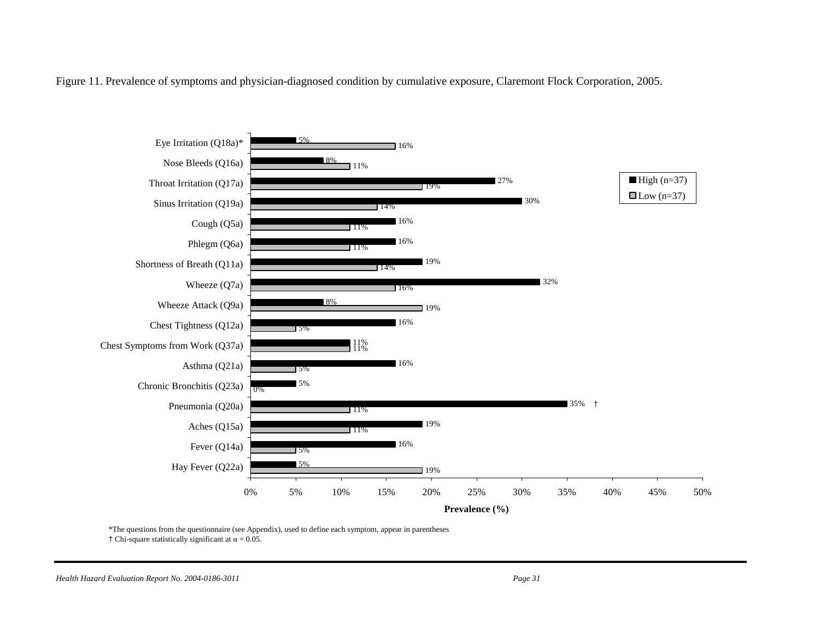Figure 11. Prevalence of symptoms and physician-diagnosed condition by cumulative exposure, Claremont Flock Corporation, 2005.



\*The questions from the questionnaire (see Appendix), used to define each symptom, appear in parentheses

† Chi-square statistically significant at  $\alpha = 0.05$ .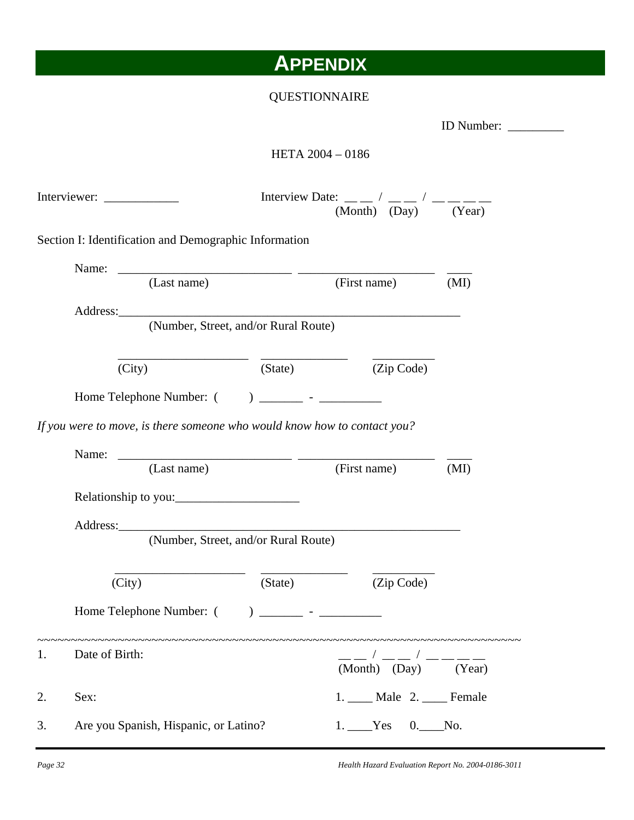## **APPENDIX**

## QUESTIONNAIRE

#### HETA 2004 – 0186

|    |                                                                          |         | Interview Date: $\frac{1}{(Month)}$ $\left(\frac{1}{Day}\right)^{\prime}$ $\frac{1}{(Year)}$ |        |
|----|--------------------------------------------------------------------------|---------|----------------------------------------------------------------------------------------------|--------|
|    | Section I: Identification and Demographic Information                    |         |                                                                                              |        |
|    |                                                                          |         |                                                                                              |        |
|    | (Last name)                                                              |         | (First name) (MI)                                                                            |        |
|    |                                                                          |         |                                                                                              |        |
|    | Address: (Number, Street, and/or Rural Route)                            |         |                                                                                              |        |
|    |                                                                          |         | $\frac{1}{\text{(State)}}$ $\frac{1}{\text{(Zip Code)}}$                                     |        |
|    | (City)                                                                   |         |                                                                                              |        |
|    |                                                                          |         |                                                                                              |        |
|    | If you were to move, is there someone who would know how to contact you? |         |                                                                                              |        |
|    |                                                                          |         |                                                                                              |        |
|    | (Last name)                                                              |         | (First name)                                                                                 | (MI)   |
|    |                                                                          |         |                                                                                              |        |
|    |                                                                          |         |                                                                                              |        |
|    |                                                                          |         |                                                                                              |        |
|    | Address: (Number, Street, and/or Rural Route)                            |         |                                                                                              |        |
|    |                                                                          |         |                                                                                              |        |
|    |                                                                          |         |                                                                                              |        |
|    | (City)                                                                   | (xiate) | (Zip Code)                                                                                   |        |
|    |                                                                          |         |                                                                                              |        |
|    |                                                                          |         |                                                                                              |        |
| 1. | Date of Birth:                                                           |         | (Month) (Day)                                                                                | (Year) |
| 2. | Sex:                                                                     |         | 1. ____ Male 2. ____ Female                                                                  |        |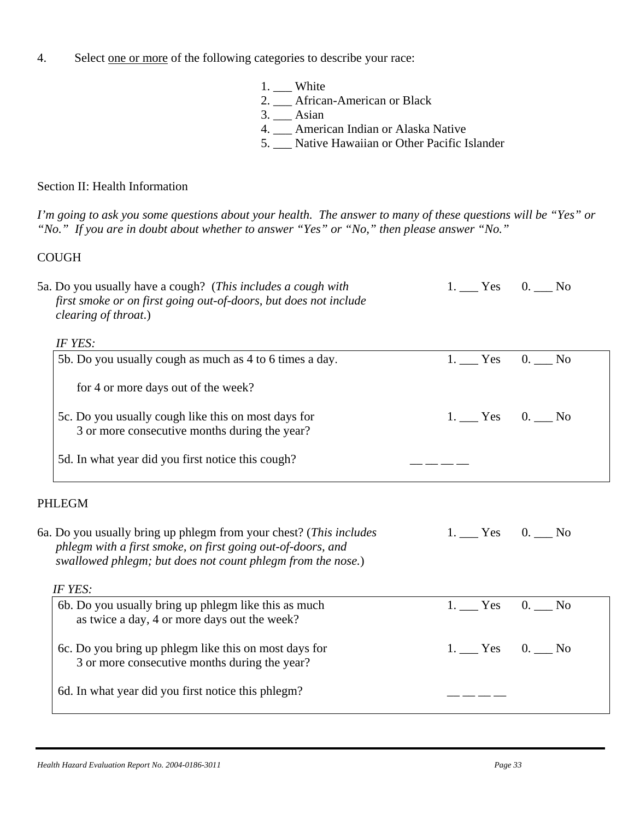- 4. Select one or more of the following categories to describe your race:
	- 1. \_\_\_ White
	- 2. \_\_\_ African-American or Black
	- 3. \_\_\_ Asian
	- 4. \_\_\_ American Indian or Alaska Native
	- 5. \_\_\_ Native Hawaiian or Other Pacific Islander

### Section II: Health Information

*I'm going to ask you some questions about your health. The answer to many of these questions will be "Yes" or "No." If you are in doubt about whether to answer "Yes" or "No," then please answer "No."* 

### **COUGH**

| 5a. Do you usually have a cough? (This includes a cough with<br>first smoke or on first going out-of-doors, but does not include<br>clearing of throat.)                                         | $1.$ Yes 0. No   |         |
|--------------------------------------------------------------------------------------------------------------------------------------------------------------------------------------------------|------------------|---------|
| IF YES:                                                                                                                                                                                          |                  |         |
| 5b. Do you usually cough as much as 4 to 6 times a day.                                                                                                                                          | $1.$ Yes         | $0.$ No |
| for 4 or more days out of the week?                                                                                                                                                              |                  |         |
| 5c. Do you usually cough like this on most days for<br>3 or more consecutive months during the year?                                                                                             | 1. $Yes = 0.$ No |         |
| 5d. In what year did you first notice this cough?                                                                                                                                                |                  |         |
| <b>PHLEGM</b>                                                                                                                                                                                    |                  |         |
| 6a. Do you usually bring up phlegm from your chest? (This includes<br>phlegm with a first smoke, on first going out-of-doors, and<br>swallowed phlegm; but does not count phlegm from the nose.) | $1.$ Yes 0. No   |         |
| IF YES:                                                                                                                                                                                          |                  |         |
| 6b. Do you usually bring up phlegm like this as much<br>as twice a day, 4 or more days out the week?                                                                                             | $1.$ Yes         | $0.$ No |
| 6c. Do you bring up phlegm like this on most days for<br>3 or more consecutive months during the year?                                                                                           | $1.$ Yes 0. No   |         |
| 6d. In what year did you first notice this phlegm?                                                                                                                                               |                  |         |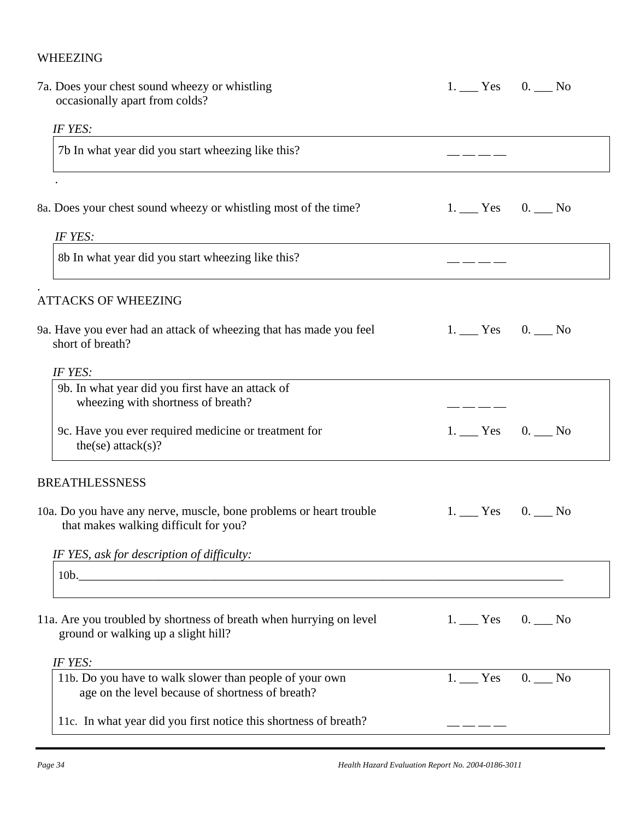### WHEEZING

| 7a. Does your chest sound wheezy or whistling<br>occasionally apart from colds?                             | $1.$ Yes 0. No |
|-------------------------------------------------------------------------------------------------------------|----------------|
| IF YES:                                                                                                     |                |
| 7b In what year did you start wheezing like this?                                                           |                |
|                                                                                                             |                |
| 8a. Does your chest sound wheezy or whistling most of the time?                                             | $1.$ Yes 0. No |
| IF YES:                                                                                                     |                |
| 8b In what year did you start wheezing like this?                                                           |                |
| <b>ATTACKS OF WHEEZING</b>                                                                                  |                |
| 9a. Have you ever had an attack of wheezing that has made you feel<br>short of breath?                      | $1.$ Yes 0. No |
| IF YES:                                                                                                     |                |
| 9b. In what year did you first have an attack of<br>wheezing with shortness of breath?                      |                |
| 9c. Have you ever required medicine or treatment for<br>the(se) $attack(s)$ ?                               | $1.$ Yes 0. No |
| <b>BREATHLESSNESS</b>                                                                                       |                |
| 10a. Do you have any nerve, muscle, bone problems or heart trouble<br>that makes walking difficult for you? | $1.$ Yes 0. No |
| IF YES, ask for description of difficulty:                                                                  |                |
| 10b.                                                                                                        |                |
| 11a. Are you troubled by shortness of breath when hurrying on level<br>ground or walking up a slight hill?  | $1.$ Yes 0. No |
| IF YES:                                                                                                     |                |
| 11b. Do you have to walk slower than people of your own<br>age on the level because of shortness of breath? | $1.$ Yes 0. No |
| 11c. In what year did you first notice this shortness of breath?                                            |                |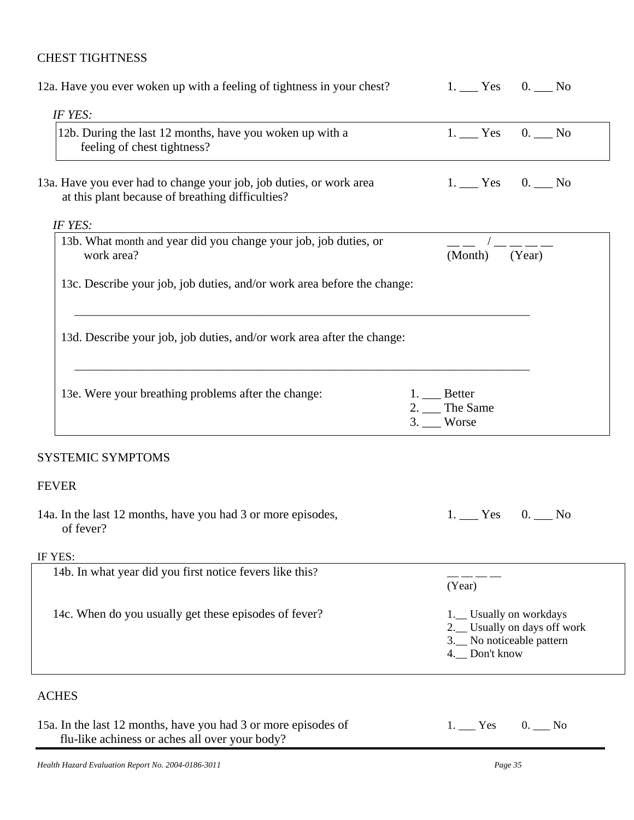### CHEST TIGHTNESS

| 12a. Have you ever woken up with a feeling of tightness in your chest?                                                  | 1. $Yes$ 0. $No$                                                                                       |
|-------------------------------------------------------------------------------------------------------------------------|--------------------------------------------------------------------------------------------------------|
| IF YES:                                                                                                                 |                                                                                                        |
| 12b. During the last 12 months, have you woken up with a<br>feeling of chest tightness?                                 | $1.$ Yes 0. No                                                                                         |
| 13a. Have you ever had to change your job, job duties, or work area<br>at this plant because of breathing difficulties? | $1.$ Yes 0. No                                                                                         |
| IF YES:                                                                                                                 |                                                                                                        |
| 13b. What month and year did you change your job, job duties, or<br>work area?                                          | (Year)<br>(Month)                                                                                      |
| 13c. Describe your job, job duties, and/or work area before the change:                                                 |                                                                                                        |
| 13d. Describe your job, job duties, and/or work area after the change:                                                  |                                                                                                        |
| 13e. Were your breathing problems after the change:                                                                     | $1.$ Better<br>2. The Same<br>$3.$ Worse                                                               |
| <b>SYSTEMIC SYMPTOMS</b>                                                                                                |                                                                                                        |
| <b>FEVER</b>                                                                                                            |                                                                                                        |
| 14a. In the last 12 months, have you had 3 or more episodes,<br>of fever?                                               | $1.$ Yes 0. No                                                                                         |
| IF YES:                                                                                                                 |                                                                                                        |
| 14b. In what year did you first notice fevers like this?                                                                | (Year)                                                                                                 |
| 14c. When do you usually get these episodes of fever?                                                                   | 1.__ Usually on workdays<br>2.__ Usually on days off work<br>3. No noticeable pattern<br>4. Don't know |
| <b>ACHES</b>                                                                                                            |                                                                                                        |
| 15a. In the last 12 months, have you had 3 or more episodes of<br>flu-like achiness or aches all over your body?        | $1.$ Yes<br>$0.$ No                                                                                    |
| Health Hazard Evaluation Report No. 2004-0186-3011                                                                      | Page 35                                                                                                |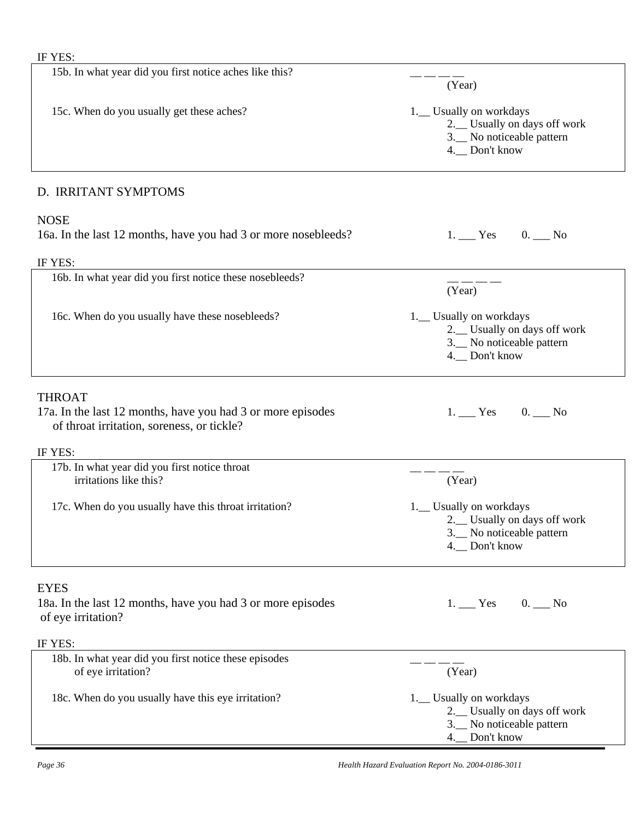| 15b. In what year did you first notice aches like this?                                                                    | (Year)                                                                                                   |
|----------------------------------------------------------------------------------------------------------------------------|----------------------------------------------------------------------------------------------------------|
| 15c. When do you usually get these aches?                                                                                  | 1.__ Usually on workdays<br>2.__ Usually on days off work<br>3. No noticeable pattern<br>4. Don't know   |
| D. IRRITANT SYMPTOMS                                                                                                       |                                                                                                          |
| <b>NOSE</b><br>16a. In the last 12 months, have you had 3 or more nosebleeds?<br>IF YES:                                   | $1.$ Yes 0. No                                                                                           |
| 16b. In what year did you first notice these nosebleeds?                                                                   | (Year)                                                                                                   |
| 16c. When do you usually have these nosebleeds?                                                                            | 1.__ Usually on workdays<br>2.__ Usually on days off work<br>3. No noticeable pattern<br>4. Don't know   |
| <b>THROAT</b><br>17a. In the last 12 months, have you had 3 or more episodes<br>of throat irritation, soreness, or tickle? | $1.$ Yes 0. No                                                                                           |
| IF YES:                                                                                                                    |                                                                                                          |
| 17b. In what year did you first notice throat<br>irritations like this?                                                    | (Year)                                                                                                   |
| 17c. When do you usually have this throat irritation?                                                                      | 1. Usually on workdays<br>2. Usually on days off work<br>3. No noticeable pattern<br>4. Don't know       |
| <b>EYES</b><br>18a. In the last 12 months, have you had 3 or more episodes<br>of eye irritation?                           | 1. Yes 0. No                                                                                             |
| IF YES:                                                                                                                    |                                                                                                          |
| 18b. In what year did you first notice these episodes<br>of eye irritation?                                                | (Year)                                                                                                   |
| 18c. When do you usually have this eye irritation?                                                                         | 1.__ Usually on workdays<br>2.__ Usually on days off work<br>3. No noticeable pattern<br>4.__ Don't know |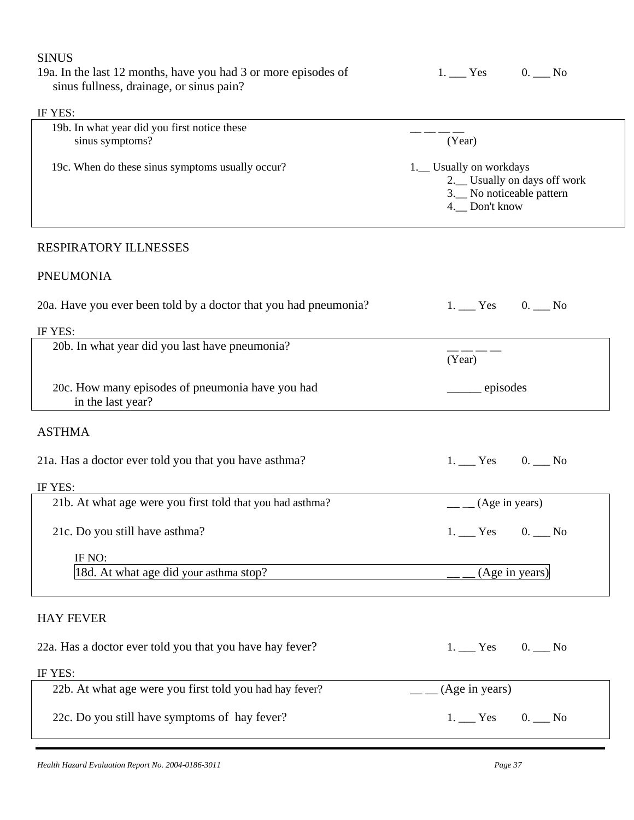| <b>SINUS</b>                                                                                               |                                                                                                          |  |
|------------------------------------------------------------------------------------------------------------|----------------------------------------------------------------------------------------------------------|--|
| 19a. In the last 12 months, have you had 3 or more episodes of<br>sinus fullness, drainage, or sinus pain? | $1.$ Yes 0. No                                                                                           |  |
| IF YES:                                                                                                    |                                                                                                          |  |
| 19b. In what year did you first notice these<br>sinus symptoms?                                            | (Year)                                                                                                   |  |
| 19c. When do these sinus symptoms usually occur?                                                           | 1.__ Usually on workdays<br>2.__ Usually on days off work<br>3. No noticeable pattern<br>4.__ Don't know |  |
| RESPIRATORY ILLNESSES                                                                                      |                                                                                                          |  |
| <b>PNEUMONIA</b>                                                                                           |                                                                                                          |  |
| 20a. Have you ever been told by a doctor that you had pneumonia?                                           | $1.$ Yes 0. No                                                                                           |  |
| IF YES:                                                                                                    |                                                                                                          |  |
| 20b. In what year did you last have pneumonia?                                                             | (Year)                                                                                                   |  |
| 20c. How many episodes of pneumonia have you had<br>in the last year?                                      | episodes                                                                                                 |  |
| <b>ASTHMA</b>                                                                                              |                                                                                                          |  |
| 21a. Has a doctor ever told you that you have asthma?                                                      | $1.$ Yes 0. No                                                                                           |  |
| IF YES:                                                                                                    |                                                                                                          |  |
| 21b. At what age were you first told that you had asthma?                                                  | $_{-}$ (Age in years)                                                                                    |  |
| 21c. Do you still have asthma?                                                                             | $1.$ Yes 0. No                                                                                           |  |
| IF NO:<br>18d. At what age did your asthma stop?                                                           | (Age in years)                                                                                           |  |
| <b>HAY FEVER</b>                                                                                           |                                                                                                          |  |
| 22a. Has a doctor ever told you that you have hay fever?                                                   | $1.$ Yes 0. No                                                                                           |  |
| IF YES:                                                                                                    |                                                                                                          |  |
| 22b. At what age were you first told you had hay fever?                                                    | (Age in years)                                                                                           |  |
| 22c. Do you still have symptoms of hay fever?                                                              | $1.$ Yes 0. No                                                                                           |  |
|                                                                                                            |                                                                                                          |  |

*Health Hazard Evaluation Report No. 2004-0186-3011 Page 37*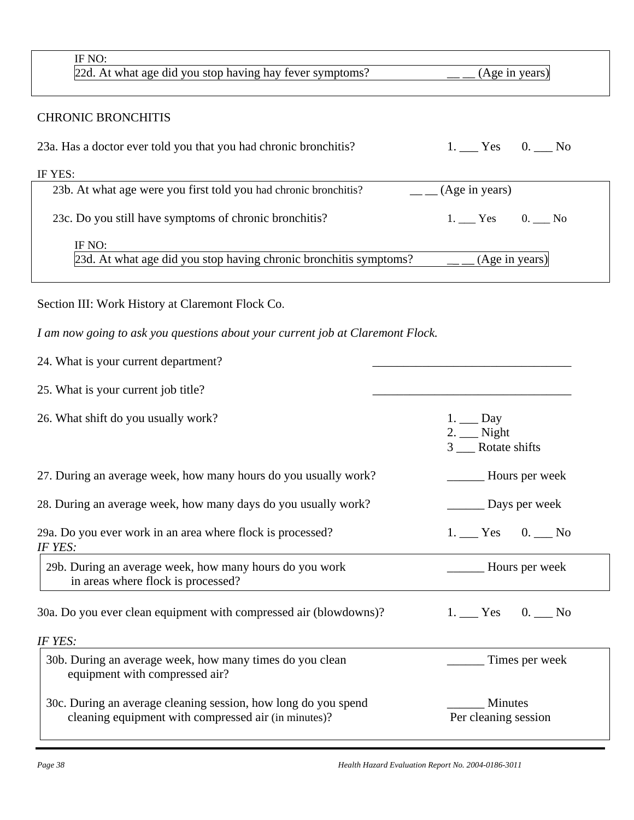| IF NO:<br>22d. At what age did you stop having hay fever symptoms?                                                                 | (Age in years)                                      |  |  |  |  |
|------------------------------------------------------------------------------------------------------------------------------------|-----------------------------------------------------|--|--|--|--|
| <b>CHRONIC BRONCHITIS</b>                                                                                                          |                                                     |  |  |  |  |
| 23a. Has a doctor ever told you that you had chronic bronchitis?                                                                   | 1. $Yes$ 0. $No$                                    |  |  |  |  |
| IF YES:                                                                                                                            |                                                     |  |  |  |  |
| 23b. At what age were you first told you had chronic bronchitis?                                                                   | (Age in years)                                      |  |  |  |  |
| 23c. Do you still have symptoms of chronic bronchitis?                                                                             | $1.$ Yes 0. No                                      |  |  |  |  |
| IF NO:                                                                                                                             |                                                     |  |  |  |  |
| 23d. At what age did you stop having chronic bronchitis symptoms?                                                                  | (Age in years)                                      |  |  |  |  |
| Section III: Work History at Claremont Flock Co.<br>I am now going to ask you questions about your current job at Claremont Flock. |                                                     |  |  |  |  |
|                                                                                                                                    |                                                     |  |  |  |  |
| 24. What is your current department?                                                                                               |                                                     |  |  |  |  |
| 25. What is your current job title?                                                                                                |                                                     |  |  |  |  |
|                                                                                                                                    |                                                     |  |  |  |  |
| 26. What shift do you usually work?                                                                                                | $1.$ $\_\_$ Day<br>$2.$ Night<br>3 __ Rotate shifts |  |  |  |  |
| 27. During an average week, how many hours do you usually work?                                                                    | Hours per week                                      |  |  |  |  |
| 28. During an average week, how many days do you usually work?                                                                     | Days per week                                       |  |  |  |  |
| 29a. Do you ever work in an area where flock is processed?<br>IF YES:                                                              | $1.$ Yes 0. No                                      |  |  |  |  |
| 29b. During an average week, how many hours do you work<br>in areas where flock is processed?                                      |                                                     |  |  |  |  |
| 30a. Do you ever clean equipment with compressed air (blowdowns)?                                                                  | $1.$ Yes 0. No                                      |  |  |  |  |
| IF YES:                                                                                                                            |                                                     |  |  |  |  |
| 30b. During an average week, how many times do you clean<br>equipment with compressed air?                                         | Times per week                                      |  |  |  |  |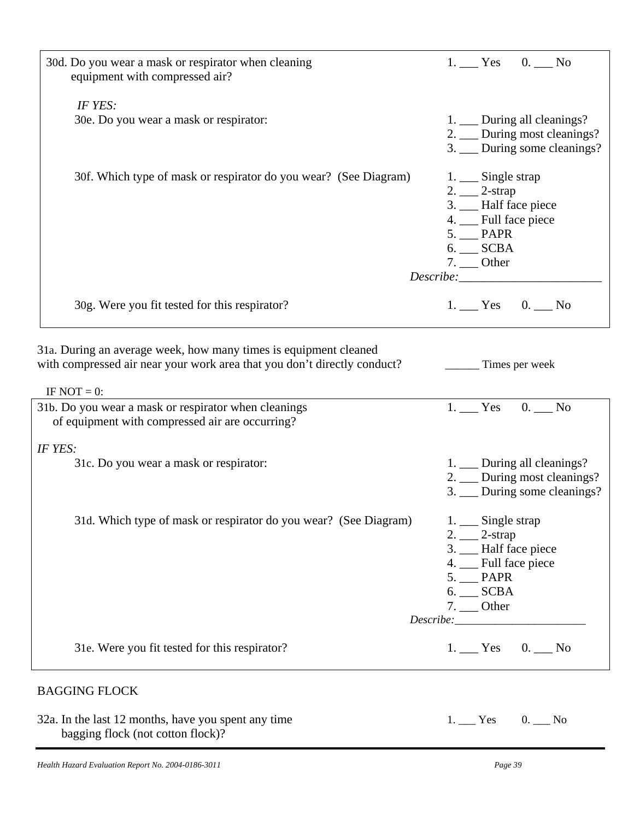| 30d. Do you wear a mask or respirator when cleaning<br>equipment with compressed air?                                                                          | $1.$ Yes 0. No                                                                                                                                        |
|----------------------------------------------------------------------------------------------------------------------------------------------------------------|-------------------------------------------------------------------------------------------------------------------------------------------------------|
| IF YES:<br>30e. Do you wear a mask or respirator:                                                                                                              | 1. __ During all cleanings?<br>2. __ During most cleanings?<br>3. __ During some cleanings?                                                           |
| 30f. Which type of mask or respirator do you wear? (See Diagram)                                                                                               | 1. __ Single strap<br>$2.$ 2-strap<br>3. __ Half face piece<br>4. __ Full face piece<br>$5.$ PAPR<br>$6.$ ___ SCBA<br>$7.$ Other<br>Describe:         |
| 30g. Were you fit tested for this respirator?                                                                                                                  | $1.$ Yes 0. No                                                                                                                                        |
| 31a. During an average week, how many times is equipment cleaned<br>with compressed air near your work area that you don't directly conduct?<br>IF NOT $= 0$ : | Times per week                                                                                                                                        |
| 31b. Do you wear a mask or respirator when cleanings<br>of equipment with compressed air are occurring?                                                        | $1.$ Yes 0. No                                                                                                                                        |
| IF YES:<br>31c. Do you wear a mask or respirator:                                                                                                              | 1. __ During all cleanings?<br>2. __ During most cleanings?<br>3. __ During some cleanings?                                                           |
| 31d. Which type of mask or respirator do you wear? (See Diagram)                                                                                               | 1. __ Single strap<br>$2.$ $2\text{-strap}$<br>3. __ Half face piece<br>4. __ Full face piece<br>5. PAPR<br>$6.$ SCBA<br>$7.$ Other<br>$Describe: \_$ |
| 31e. Were you fit tested for this respirator?                                                                                                                  | $1.$ Yes 0. No                                                                                                                                        |
| <b>BAGGING FLOCK</b>                                                                                                                                           |                                                                                                                                                       |
| 32a. In the last 12 months, have you spent any time<br>bagging flock (not cotton flock)?                                                                       | $1.$ Yes 0. No                                                                                                                                        |

*Health Hazard Evaluation Report No. 2004-0186-3011 Page 39*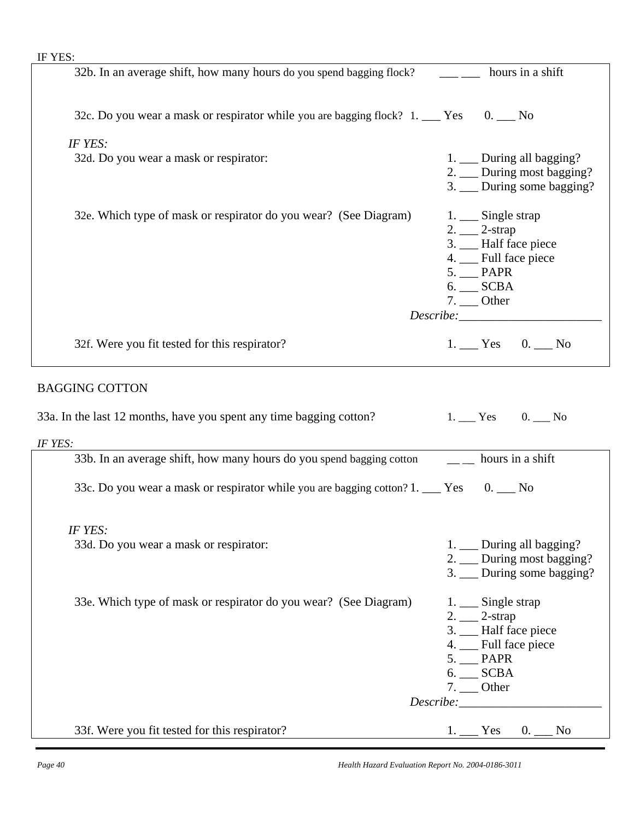| IF YES:                                                                                 |                                                                                                                                                                                                                                                                                                                                                                                                                                   |  |  |
|-----------------------------------------------------------------------------------------|-----------------------------------------------------------------------------------------------------------------------------------------------------------------------------------------------------------------------------------------------------------------------------------------------------------------------------------------------------------------------------------------------------------------------------------|--|--|
| 32b. In an average shift, how many hours do you spend bagging flock?                    | hours in a shift                                                                                                                                                                                                                                                                                                                                                                                                                  |  |  |
|                                                                                         |                                                                                                                                                                                                                                                                                                                                                                                                                                   |  |  |
| 32c. Do you wear a mask or respirator while you are bagging flock? 1. ___ Yes 0. __ No  |                                                                                                                                                                                                                                                                                                                                                                                                                                   |  |  |
|                                                                                         |                                                                                                                                                                                                                                                                                                                                                                                                                                   |  |  |
| IF YES:                                                                                 |                                                                                                                                                                                                                                                                                                                                                                                                                                   |  |  |
| 32d. Do you wear a mask or respirator:                                                  | 1. __ During all bagging?<br>2. __ During most bagging?                                                                                                                                                                                                                                                                                                                                                                           |  |  |
|                                                                                         |                                                                                                                                                                                                                                                                                                                                                                                                                                   |  |  |
|                                                                                         | 3. __ During some bagging?                                                                                                                                                                                                                                                                                                                                                                                                        |  |  |
| 32e. Which type of mask or respirator do you wear? (See Diagram)                        | 1. Single strap                                                                                                                                                                                                                                                                                                                                                                                                                   |  |  |
|                                                                                         | $2.$ $2\text{-}$ $2\text{-}$ $\frac{2\text{-}}{2}$                                                                                                                                                                                                                                                                                                                                                                                |  |  |
|                                                                                         | 3. __ Half face piece                                                                                                                                                                                                                                                                                                                                                                                                             |  |  |
|                                                                                         | 4. Full face piece                                                                                                                                                                                                                                                                                                                                                                                                                |  |  |
|                                                                                         | $5.$ $\_\_\$ PAPR                                                                                                                                                                                                                                                                                                                                                                                                                 |  |  |
|                                                                                         | $6.$ SCBA                                                                                                                                                                                                                                                                                                                                                                                                                         |  |  |
|                                                                                         | $7.$ Other                                                                                                                                                                                                                                                                                                                                                                                                                        |  |  |
|                                                                                         |                                                                                                                                                                                                                                                                                                                                                                                                                                   |  |  |
|                                                                                         |                                                                                                                                                                                                                                                                                                                                                                                                                                   |  |  |
| 32f. Were you fit tested for this respirator?                                           | $1.$ Yes 0. No                                                                                                                                                                                                                                                                                                                                                                                                                    |  |  |
|                                                                                         |                                                                                                                                                                                                                                                                                                                                                                                                                                   |  |  |
| <b>BAGGING COTTON</b>                                                                   |                                                                                                                                                                                                                                                                                                                                                                                                                                   |  |  |
|                                                                                         |                                                                                                                                                                                                                                                                                                                                                                                                                                   |  |  |
|                                                                                         |                                                                                                                                                                                                                                                                                                                                                                                                                                   |  |  |
| 33a. In the last 12 months, have you spent any time bagging cotton?                     | $1.$ Yes 0. No                                                                                                                                                                                                                                                                                                                                                                                                                    |  |  |
| IF YES:                                                                                 |                                                                                                                                                                                                                                                                                                                                                                                                                                   |  |  |
| 33b. In an average shift, how many hours do you spend bagging cotton                    | $\frac{1}{\sqrt{1-\frac{1}{\sqrt{1-\frac{1}{\sqrt{1-\frac{1}{\sqrt{1-\frac{1}{\sqrt{1-\frac{1}{\sqrt{1-\frac{1}{\sqrt{1-\frac{1}{\sqrt{1-\frac{1}{\sqrt{1-\frac{1}{\sqrt{1-\frac{1}{\sqrt{1-\frac{1}{\sqrt{1-\frac{1}{\sqrt{1-\frac{1}{\sqrt{1-\frac{1}{\sqrt{1-\frac{1}{\sqrt{1-\frac{1}{\sqrt{1-\frac{1}{\sqrt{1-\frac{1}{\sqrt{1-\frac{1}{\sqrt{1-\frac{1}{\sqrt{1-\frac{1}{\sqrt{1-\frac{1}{\sqrt{1-\frac{1}{\sqrt{1-\frac{1$ |  |  |
|                                                                                         |                                                                                                                                                                                                                                                                                                                                                                                                                                   |  |  |
| 33c. Do you wear a mask or respirator while you are bagging cotton? 1. ___ Yes 0. __ No |                                                                                                                                                                                                                                                                                                                                                                                                                                   |  |  |
|                                                                                         |                                                                                                                                                                                                                                                                                                                                                                                                                                   |  |  |
|                                                                                         |                                                                                                                                                                                                                                                                                                                                                                                                                                   |  |  |
| IF YES:                                                                                 |                                                                                                                                                                                                                                                                                                                                                                                                                                   |  |  |
| 33d. Do you wear a mask or respirator:                                                  | 1. __ During all bagging?                                                                                                                                                                                                                                                                                                                                                                                                         |  |  |
|                                                                                         | 2. __ During most bagging?                                                                                                                                                                                                                                                                                                                                                                                                        |  |  |
|                                                                                         | 3. __ During some bagging?                                                                                                                                                                                                                                                                                                                                                                                                        |  |  |
|                                                                                         |                                                                                                                                                                                                                                                                                                                                                                                                                                   |  |  |
| 33e. Which type of mask or respirator do you wear? (See Diagram)                        | 1. Single strap                                                                                                                                                                                                                                                                                                                                                                                                                   |  |  |
|                                                                                         | $2.$ $2\text{-}$ $2\text{-}$ $3\text{-}$                                                                                                                                                                                                                                                                                                                                                                                          |  |  |
|                                                                                         | 3. __ Half face piece                                                                                                                                                                                                                                                                                                                                                                                                             |  |  |
|                                                                                         | 4. __ Full face piece                                                                                                                                                                                                                                                                                                                                                                                                             |  |  |
|                                                                                         | $5.$ $\_$ PAPR                                                                                                                                                                                                                                                                                                                                                                                                                    |  |  |
|                                                                                         | $6.$ SCBA                                                                                                                                                                                                                                                                                                                                                                                                                         |  |  |
|                                                                                         | $7.$ Other                                                                                                                                                                                                                                                                                                                                                                                                                        |  |  |
| 33f. Were you fit tested for this respirator?                                           | $1.$ Yes 0. No                                                                                                                                                                                                                                                                                                                                                                                                                    |  |  |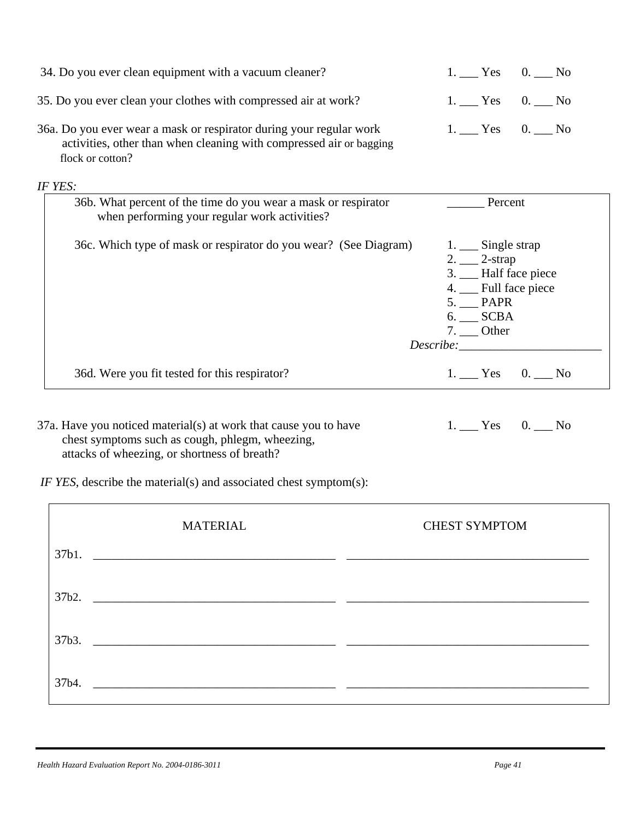| 34. Do you ever clean equipment with a vacuum cleaner?                                                                                                                                                                                   | $1.$ Yes 0. No                                                                                                                                     |
|------------------------------------------------------------------------------------------------------------------------------------------------------------------------------------------------------------------------------------------|----------------------------------------------------------------------------------------------------------------------------------------------------|
| 35. Do you ever clean your clothes with compressed air at work?                                                                                                                                                                          | $1.$ Yes 0. No                                                                                                                                     |
| 36a. Do you ever wear a mask or respirator during your regular work<br>activities, other than when cleaning with compressed air or bagging<br>flock or cotton?                                                                           | $1.$ Yes 0. No                                                                                                                                     |
| IF YES:                                                                                                                                                                                                                                  |                                                                                                                                                    |
| 36b. What percent of the time do you wear a mask or respirator<br>when performing your regular work activities?                                                                                                                          | Percent                                                                                                                                            |
| 36c. Which type of mask or respirator do you wear? (See Diagram)                                                                                                                                                                         | 1. Single strap<br>$2.$ $2$ -strap<br>3. __ Half face piece<br>4. __ Full face piece<br>$5.$ $\_\_\$ PAPR<br>6. __ SCBA<br>$7.$ Other<br>Describe: |
| 36d. Were you fit tested for this respirator?                                                                                                                                                                                            | $1.$ Yes 0. No                                                                                                                                     |
| 37a. Have you noticed material(s) at work that cause you to have<br>chest symptoms such as cough, phlegm, wheezing,<br>attacks of wheezing, or shortness of breath?<br>IF YES, describe the material(s) and associated chest symptom(s): | $1.$ Yes 0. No                                                                                                                                     |
|                                                                                                                                                                                                                                          |                                                                                                                                                    |
| <b>MATERIAL</b><br>37b1.<br><u> 1980 - Johann Stein, marwolaethau (b. 1980)</u>                                                                                                                                                          | <b>CHEST SYMPTOM</b>                                                                                                                               |
| 37b2.<br><u> 1980 - Jan Barbara Barat, margaret eta biztanleria (h. 1980).</u>                                                                                                                                                           |                                                                                                                                                    |
| 37b3.<br><u> 1980 - Jan Barbara Barbara, manazar amerikan persoa dan persoa dan persoa dan persoa dan persoa dan persoa d</u>                                                                                                            |                                                                                                                                                    |
| 37b4.<br><u> 1989 - Johann Harry Harry Harry Harry Harry Harry Harry Harry Harry Harry Harry Harry Harry Harry Harry Harry</u>                                                                                                           |                                                                                                                                                    |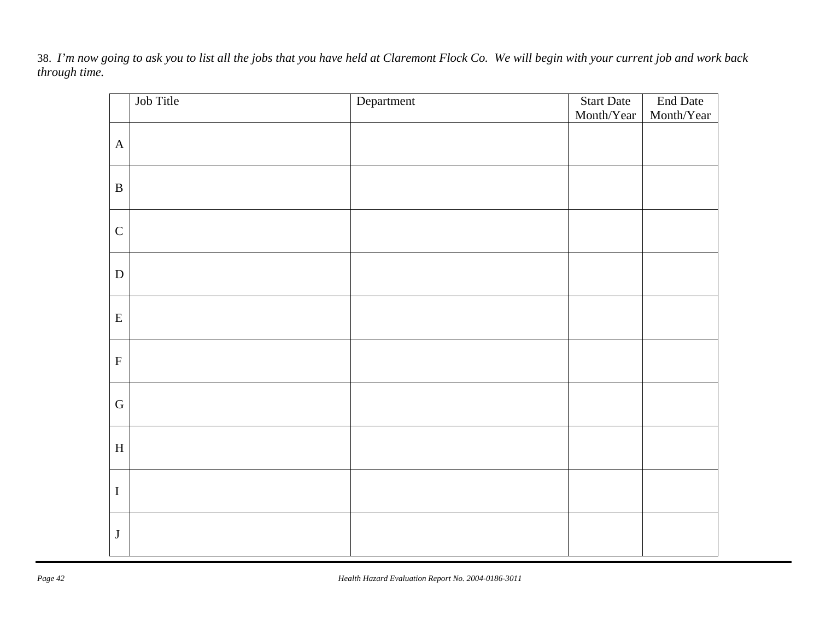38. *I'm now going to ask you to list all the jobs that you have held at Claremont Flock Co. We will begin with your current job and work back through time.* 

|                           | Job Title | Department | <b>Start Date</b> | <b>End Date</b> |
|---------------------------|-----------|------------|-------------------|-----------------|
|                           |           |            | Month/Year        | Month/Year      |
| $\mathbf A$               |           |            |                   |                 |
| $\, {\bf B}$              |           |            |                   |                 |
| $\mathsf{C}$              |           |            |                   |                 |
| ${\bf D}$                 |           |            |                   |                 |
| ${\bf E}$                 |           |            |                   |                 |
| ${\bf F}$                 |           |            |                   |                 |
| ${\bf G}$                 |           |            |                   |                 |
| $\boldsymbol{\mathrm{H}}$ |           |            |                   |                 |
| $\bf I$                   |           |            |                   |                 |
| $\bf J$                   |           |            |                   |                 |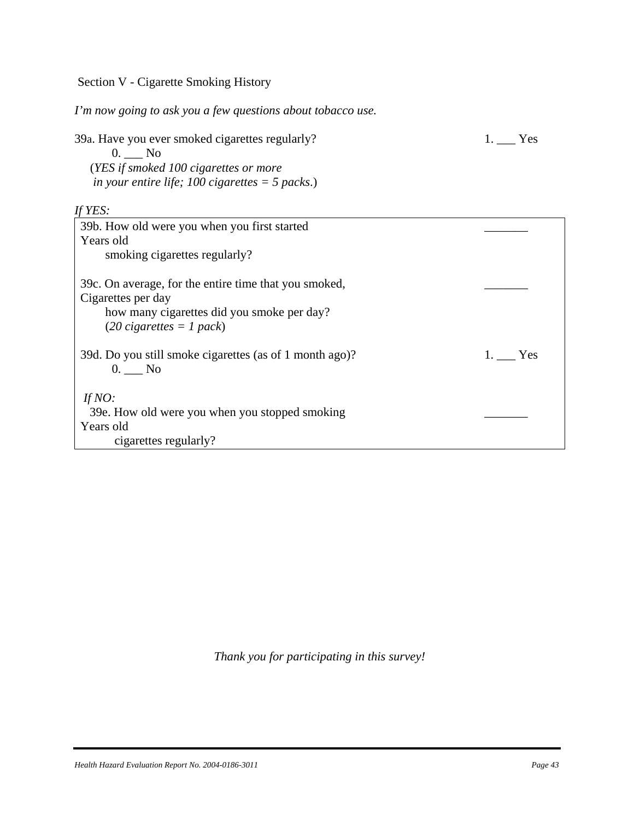Section V - Cigarette Smoking History

*I'm now going to ask you a few questions about tobacco use.* 

39a. Have you ever smoked cigarettes regularly? 1. The Yes 0. \_\_\_ No (*YES if smoked 100 cigarettes or more in your entire life; 100 cigarettes = 5 packs*.) *If YES:*  39b. How old were you when you first started \_\_\_\_\_\_\_ Years old smoking cigarettes regularly?

| 39c. On average, for the entire time that you smoked,<br>Cigarettes per day<br>how many cigarettes did you smoke per day?<br>$(20$ cigarettes = 1 pack) |        |
|---------------------------------------------------------------------------------------------------------------------------------------------------------|--------|
| 39d. Do you still smoke cigarettes (as of 1 month ago)?<br>$0.$ No                                                                                      | 1. Yes |
| If $NO$ :<br>39e. How old were you when you stopped smoking<br>Years old<br>cigarettes regularly?                                                       |        |

*Thank you for participating in this survey!*